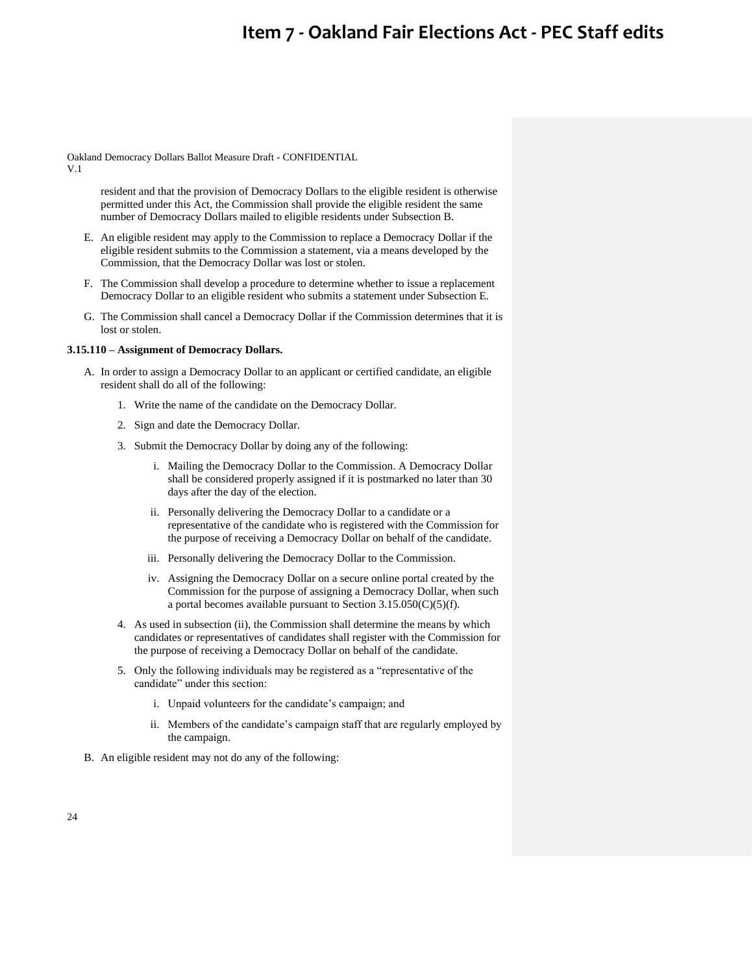Oakland Democracy Dollars Ballot Measure Draft - CONFIDENTIAL

V.1

resident and that the provision of Democracy Dollars to the eligible resident is otherwise permitted under this Act, the Commission shall provide the eligible resident the same number of Democracy Dollars mailed to eligible residents under Subsection B.

- E. An eligible resident may apply to the Commission to replace a Democracy Dollar if the eligible resident submits to the Commission a statement, via a means developed by the Commission, that the Democracy Dollar was lost or stolen.
- F. The Commission shall develop a procedure to determine whether to issue a replacement Democracy Dollar to an eligible resident who submits a statement under Subsection E.
- G. The Commission shall cancel a Democracy Dollar if the Commission determines that it is lost or stolen.

## **3.15.110 – Assignment of Democracy Dollars.**

- A. In order to assign a Democracy Dollar to an applicant or certified candidate, an eligible resident shall do all of the following:
	- 1. Write the name of the candidate on the Democracy Dollar.
	- 2. Sign and date the Democracy Dollar.
	- 3. Submit the Democracy Dollar by doing any of the following:
		- i. Mailing the Democracy Dollar to the Commission. A Democracy Dollar shall be considered properly assigned if it is postmarked no later than 30 days after the day of the election.
		- ii. Personally delivering the Democracy Dollar to a candidate or a representative of the candidate who is registered with the Commission for the purpose of receiving a Democracy Dollar on behalf of the candidate.
		- iii. Personally delivering the Democracy Dollar to the Commission.
		- iv. Assigning the Democracy Dollar on a secure online portal created by the Commission for the purpose of assigning a Democracy Dollar, when such a portal becomes available pursuant to Section  $3.15.050(C)(5)(f)$ .
	- 4. As used in subsection (ii), the Commission shall determine the means by which candidates or representatives of candidates shall register with the Commission for the purpose of receiving a Democracy Dollar on behalf of the candidate.
	- 5. Only the following individuals may be registered as a "representative of the candidate" under this section:
		- i. Unpaid volunteers for the candidate's campaign; and
		- ii. Members of the candidate's campaign staff that are regularly employed by the campaign.
- B. An eligible resident may not do any of the following: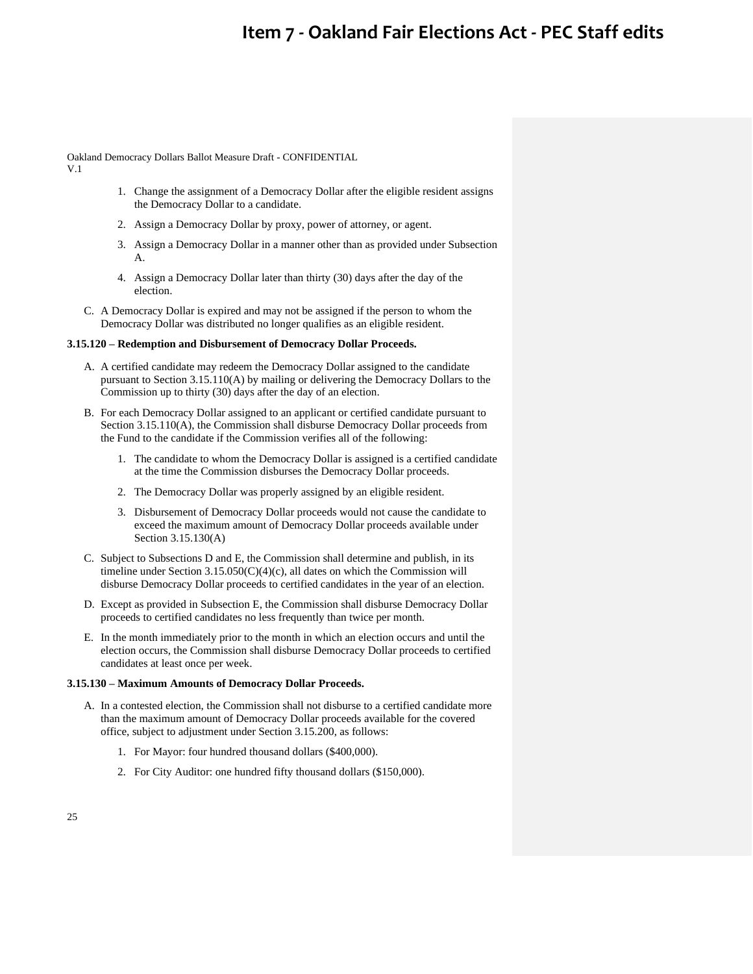Oakland Democracy Dollars Ballot Measure Draft - CONFIDENTIAL V.1

- 1. Change the assignment of a Democracy Dollar after the eligible resident assigns the Democracy Dollar to a candidate.
- 2. Assign a Democracy Dollar by proxy, power of attorney, or agent.
- 3. Assign a Democracy Dollar in a manner other than as provided under Subsection A.
- 4. Assign a Democracy Dollar later than thirty (30) days after the day of the election.
- C. A Democracy Dollar is expired and may not be assigned if the person to whom the Democracy Dollar was distributed no longer qualifies as an eligible resident.

### **3.15.120 – Redemption and Disbursement of Democracy Dollar Proceeds.**

- A. A certified candidate may redeem the Democracy Dollar assigned to the candidate pursuant to Section 3.15.110(A) by mailing or delivering the Democracy Dollars to the Commission up to thirty (30) days after the day of an election.
- B. For each Democracy Dollar assigned to an applicant or certified candidate pursuant to Section 3.15.110(A), the Commission shall disburse Democracy Dollar proceeds from the Fund to the candidate if the Commission verifies all of the following:
	- 1. The candidate to whom the Democracy Dollar is assigned is a certified candidate at the time the Commission disburses the Democracy Dollar proceeds.
	- 2. The Democracy Dollar was properly assigned by an eligible resident.
	- 3. Disbursement of Democracy Dollar proceeds would not cause the candidate to exceed the maximum amount of Democracy Dollar proceeds available under Section 3.15.130(A)
- C. Subject to Subsections D and E, the Commission shall determine and publish, in its timeline under Section  $3.15.050(C)(4)(c)$ , all dates on which the Commission will disburse Democracy Dollar proceeds to certified candidates in the year of an election.
- D. Except as provided in Subsection E, the Commission shall disburse Democracy Dollar proceeds to certified candidates no less frequently than twice per month.
- E. In the month immediately prior to the month in which an election occurs and until the election occurs, the Commission shall disburse Democracy Dollar proceeds to certified candidates at least once per week.

### **3.15.130 – Maximum Amounts of Democracy Dollar Proceeds.**

- A. In a contested election, the Commission shall not disburse to a certified candidate more than the maximum amount of Democracy Dollar proceeds available for the covered office, subject to adjustment under Section 3.15.200, as follows:
	- 1. For Mayor: four hundred thousand dollars (\$400,000).
	- 2. For City Auditor: one hundred fifty thousand dollars (\$150,000).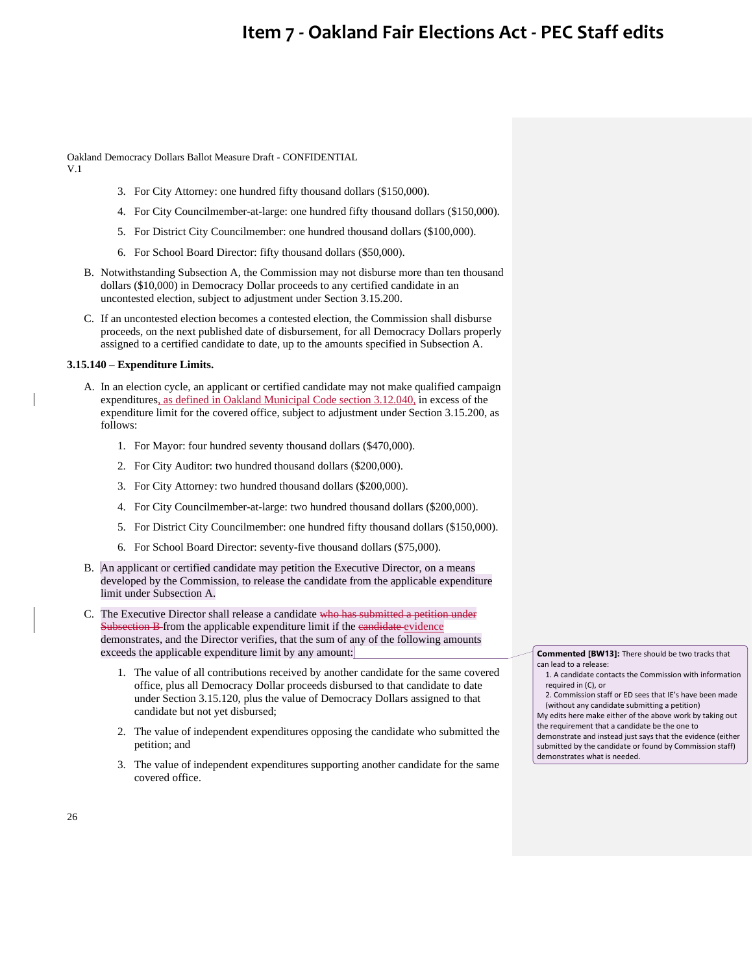Oakland Democracy Dollars Ballot Measure Draft - CONFIDENTIAL V.1

- 3. For City Attorney: one hundred fifty thousand dollars (\$150,000).
- 4. For City Councilmember-at-large: one hundred fifty thousand dollars (\$150,000).
- 5. For District City Councilmember: one hundred thousand dollars (\$100,000).
- 6. For School Board Director: fifty thousand dollars (\$50,000).
- B. Notwithstanding Subsection A, the Commission may not disburse more than ten thousand dollars (\$10,000) in Democracy Dollar proceeds to any certified candidate in an uncontested election, subject to adjustment under Section 3.15.200.
- C. If an uncontested election becomes a contested election, the Commission shall disburse proceeds, on the next published date of disbursement, for all Democracy Dollars properly assigned to a certified candidate to date, up to the amounts specified in Subsection A.

### **3.15.140 – Expenditure Limits.**

- A. In an election cycle, an applicant or certified candidate may not make qualified campaign expenditures, as defined in Oakland Municipal Code section 3.12.040, in excess of the expenditure limit for the covered office, subject to adjustment under Section 3.15.200, as follows:
	- 1. For Mayor: four hundred seventy thousand dollars (\$470,000).
	- 2. For City Auditor: two hundred thousand dollars (\$200,000).
	- 3. For City Attorney: two hundred thousand dollars (\$200,000).
	- 4. For City Councilmember-at-large: two hundred thousand dollars (\$200,000).
	- 5. For District City Councilmember: one hundred fifty thousand dollars (\$150,000).
	- 6. For School Board Director: seventy-five thousand dollars (\$75,000).
- B. An applicant or certified candidate may petition the Executive Director, on a means developed by the Commission, to release the candidate from the applicable expenditure limit under Subsection A.
- C. The Executive Director shall release a candidate who has submitted a petition under Subsection B from the applicable expenditure limit if the eandidate evidence demonstrates, and the Director verifies, that the sum of any of the following amounts exceeds the applicable expenditure limit by any amount:
	- 1. The value of all contributions received by another candidate for the same covered office, plus all Democracy Dollar proceeds disbursed to that candidate to date under Section 3.15.120, plus the value of Democracy Dollars assigned to that candidate but not yet disbursed;
	- 2. The value of independent expenditures opposing the candidate who submitted the petition; and
	- 3. The value of independent expenditures supporting another candidate for the same covered office.

**Commented [BW13]:** There should be two tracks that can lead to a release:

1. A candidate contacts the Commission with information required in (C), or

2. Commission staff or ED sees that IE's have been made (without any candidate submitting a petition)

My edits here make either of the above work by taking out the requirement that a candidate be the one to demonstrate and instead just says that the evidence (either submitted by the candidate or found by Commission staff)

demonstrates what is needed.

26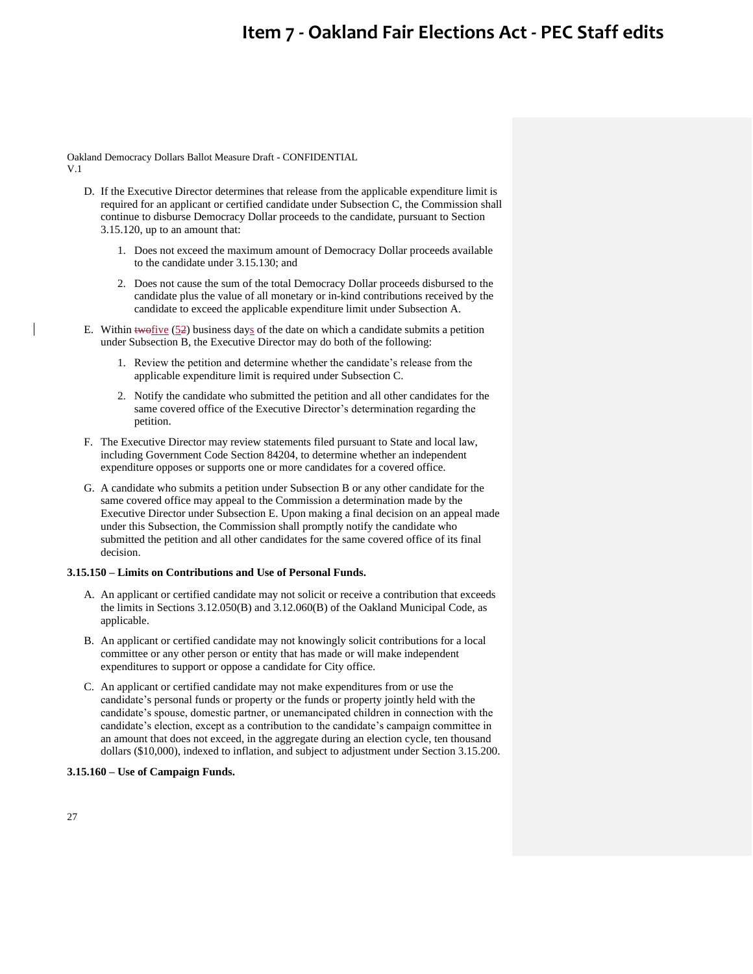Oakland Democracy Dollars Ballot Measure Draft - CONFIDENTIAL V.1

- D. If the Executive Director determines that release from the applicable expenditure limit is required for an applicant or certified candidate under Subsection C, the Commission shall continue to disburse Democracy Dollar proceeds to the candidate, pursuant to Section 3.15.120, up to an amount that:
	- 1. Does not exceed the maximum amount of Democracy Dollar proceeds available to the candidate under 3.15.130; and
	- 2. Does not cause the sum of the total Democracy Dollar proceeds disbursed to the candidate plus the value of all monetary or in-kind contributions received by the candidate to exceed the applicable expenditure limit under Subsection A.
- E. Within  $\frac{1}{2}$  (52) business days of the date on which a candidate submits a petition under Subsection B, the Executive Director may do both of the following:
	- 1. Review the petition and determine whether the candidate's release from the applicable expenditure limit is required under Subsection C.
	- 2. Notify the candidate who submitted the petition and all other candidates for the same covered office of the Executive Director's determination regarding the petition.
- F. The Executive Director may review statements filed pursuant to State and local law, including Government Code Section 84204, to determine whether an independent expenditure opposes or supports one or more candidates for a covered office.
- G. A candidate who submits a petition under Subsection B or any other candidate for the same covered office may appeal to the Commission a determination made by the Executive Director under Subsection E. Upon making a final decision on an appeal made under this Subsection, the Commission shall promptly notify the candidate who submitted the petition and all other candidates for the same covered office of its final decision.

### **3.15.150 – Limits on Contributions and Use of Personal Funds.**

- A. An applicant or certified candidate may not solicit or receive a contribution that exceeds the limits in Sections 3.12.050(B) and 3.12.060(B) of the Oakland Municipal Code, as applicable.
- B. An applicant or certified candidate may not knowingly solicit contributions for a local committee or any other person or entity that has made or will make independent expenditures to support or oppose a candidate for City office.
- C. An applicant or certified candidate may not make expenditures from or use the candidate's personal funds or property or the funds or property jointly held with the candidate's spouse, domestic partner, or unemancipated children in connection with the candidate's election, except as a contribution to the candidate's campaign committee in an amount that does not exceed, in the aggregate during an election cycle, ten thousand dollars (\$10,000), indexed to inflation, and subject to adjustment under Section 3.15.200.

### **3.15.160 – Use of Campaign Funds.**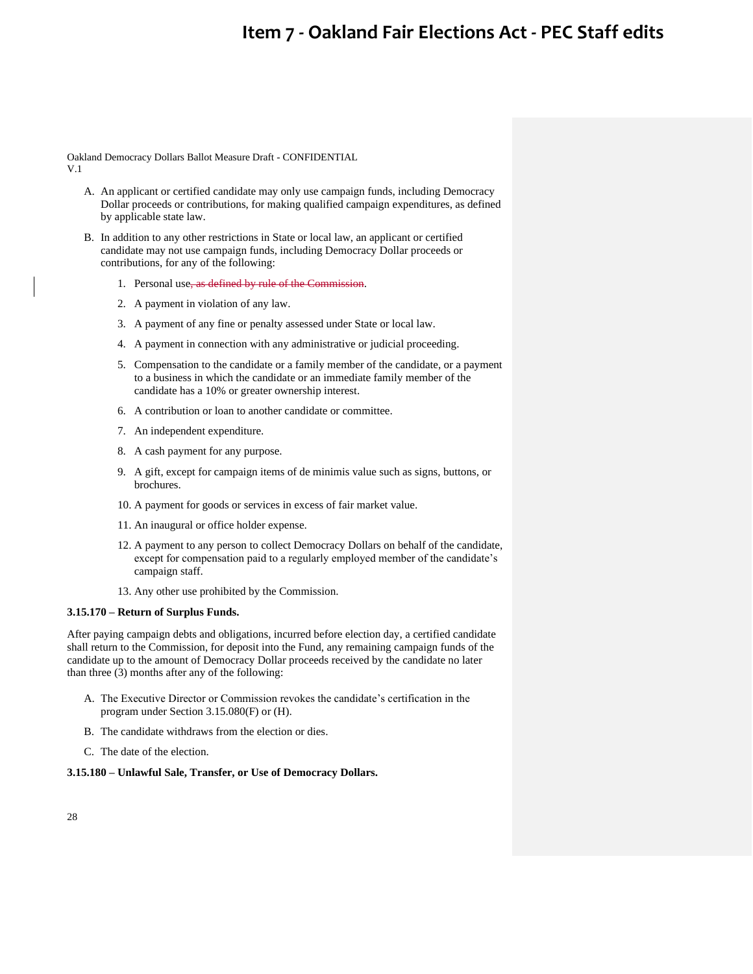Oakland Democracy Dollars Ballot Measure Draft - CONFIDENTIAL V.1

- A. An applicant or certified candidate may only use campaign funds, including Democracy Dollar proceeds or contributions, for making qualified campaign expenditures, as defined by applicable state law.
- B. In addition to any other restrictions in State or local law, an applicant or certified candidate may not use campaign funds, including Democracy Dollar proceeds or contributions, for any of the following:
	- 1. Personal use, as defined by rule of the Commission.
	- 2. A payment in violation of any law.
	- 3. A payment of any fine or penalty assessed under State or local law.
	- 4. A payment in connection with any administrative or judicial proceeding.
	- 5. Compensation to the candidate or a family member of the candidate, or a payment to a business in which the candidate or an immediate family member of the candidate has a 10% or greater ownership interest.
	- 6. A contribution or loan to another candidate or committee.
	- 7. An independent expenditure.
	- 8. A cash payment for any purpose.
	- 9. A gift, except for campaign items of de minimis value such as signs, buttons, or brochures.
	- 10. A payment for goods or services in excess of fair market value.
	- 11. An inaugural or office holder expense.
	- 12. A payment to any person to collect Democracy Dollars on behalf of the candidate, except for compensation paid to a regularly employed member of the candidate's campaign staff.
	- 13. Any other use prohibited by the Commission.

## **3.15.170 – Return of Surplus Funds.**

After paying campaign debts and obligations, incurred before election day, a certified candidate shall return to the Commission, for deposit into the Fund, any remaining campaign funds of the candidate up to the amount of Democracy Dollar proceeds received by the candidate no later than three (3) months after any of the following:

- A. The Executive Director or Commission revokes the candidate's certification in the program under Section 3.15.080(F) or (H).
- B. The candidate withdraws from the election or dies.
- C. The date of the election.

## **3.15.180 – Unlawful Sale, Transfer, or Use of Democracy Dollars.**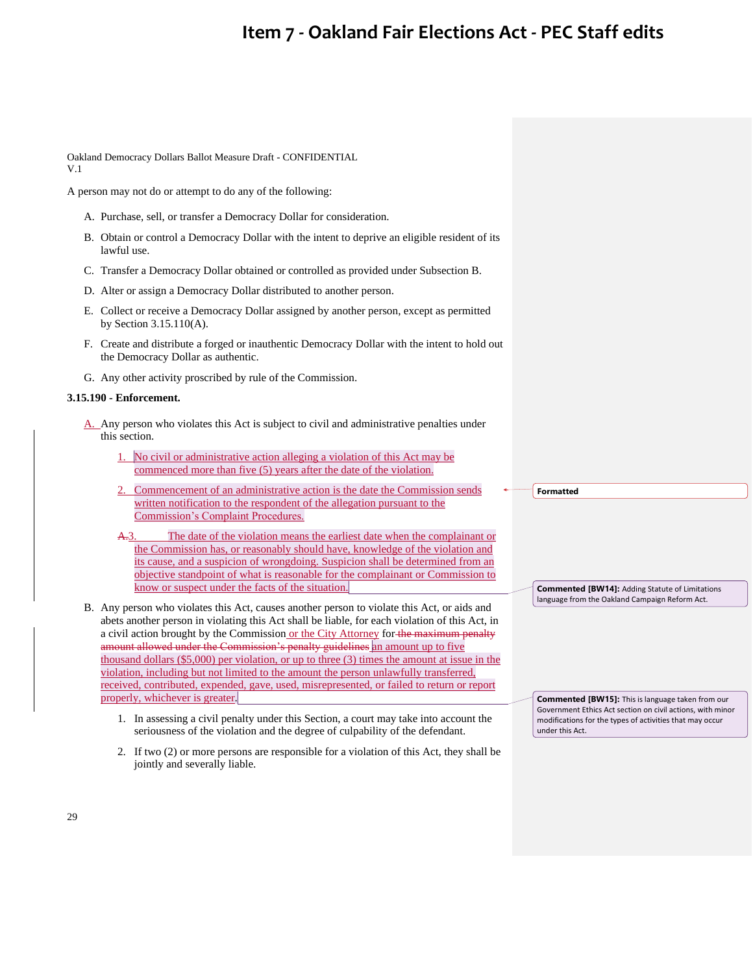Oakland Democracy Dollars Ballot Measure Draft - CONFIDENTIAL V.1

A person may not do or attempt to do any of the following:

- A. Purchase, sell, or transfer a Democracy Dollar for consideration.
- B. Obtain or control a Democracy Dollar with the intent to deprive an eligible resident of its lawful use.
- C. Transfer a Democracy Dollar obtained or controlled as provided under Subsection B.
- D. Alter or assign a Democracy Dollar distributed to another person.
- E. Collect or receive a Democracy Dollar assigned by another person, except as permitted by Section 3.15.110(A).
- F. Create and distribute a forged or inauthentic Democracy Dollar with the intent to hold out the Democracy Dollar as authentic.
- G. Any other activity proscribed by rule of the Commission.

## **3.15.190 - Enforcement.**

- A. Any person who violates this Act is subject to civil and administrative penalties under this section.
	- No civil or administrative action alleging a violation of this Act may be commenced more than five (5) years after the date of the violation.
	- 2. Commencement of an administrative action is the date the Commission sends written notification to the respondent of the allegation pursuant to the Commission's Complaint Procedures.
	- A.3. The date of the violation means the earliest date when the complainant or the Commission has, or reasonably should have, knowledge of the violation and its cause, and a suspicion of wrongdoing. Suspicion shall be determined from an objective standpoint of what is reasonable for the complainant or Commission to know or suspect under the facts of the situation.
- B. Any person who violates this Act, causes another person to violate this Act, or aids and abets another person in violating this Act shall be liable, for each violation of this Act, in a civil action brought by the Commission or the City Attorney for the maximum penalty amount allowed under the Commission's penalty guidelines an amount up to five thousand dollars (\$5,000) per violation, or up to three (3) times the amount at issue in the violation, including but not limited to the amount the person unlawfully transferred, received, contributed, expended, gave, used, misrepresented, or failed to return or report properly, whichever is greater.
	- 1. In assessing a civil penalty under this Section, a court may take into account the seriousness of the violation and the degree of culpability of the defendant.
	- 2. If two (2) or more persons are responsible for a violation of this Act, they shall be jointly and severally liable.

**Formatted**

**Commented [BW14]:** Adding Statute of Limitations language from the Oakland Campaign Reform Act.

**Commented [BW15]:** This is language taken from our Government Ethics Act section on civil actions, with minor modifications for the types of activities that may occur under this Act.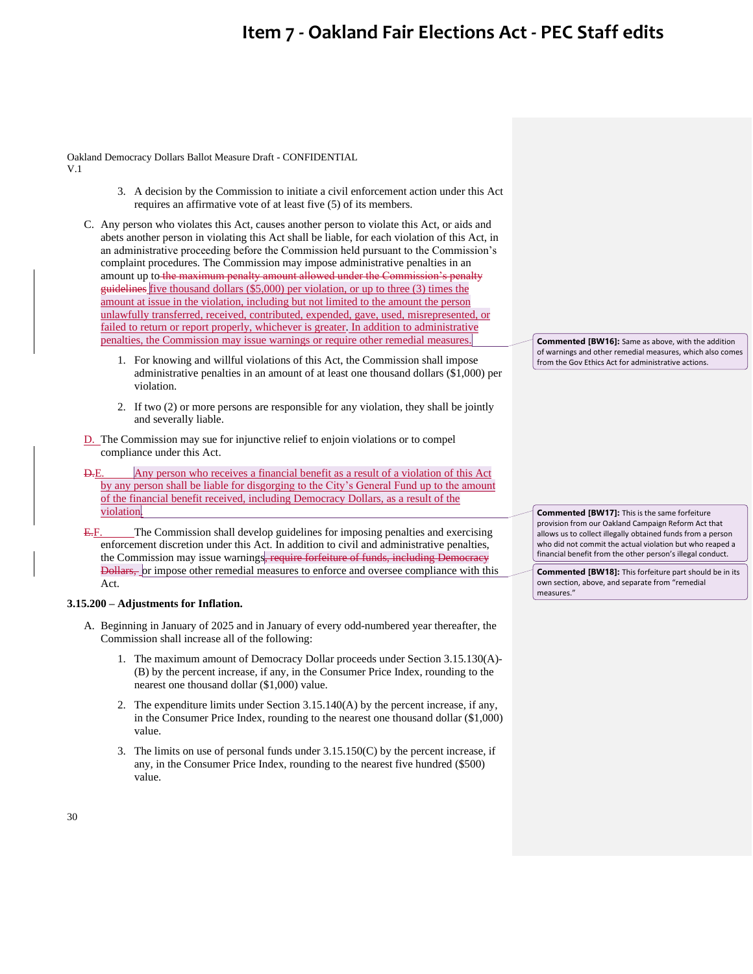Oakland Democracy Dollars Ballot Measure Draft - CONFIDENTIAL V.1

- 3. A decision by the Commission to initiate a civil enforcement action under this Act requires an affirmative vote of at least five (5) of its members.
- C. Any person who violates this Act, causes another person to violate this Act, or aids and abets another person in violating this Act shall be liable, for each violation of this Act, in an administrative proceeding before the Commission held pursuant to the Commission's complaint procedures. The Commission may impose administrative penalties in an amount up to the maximum penalty amount allowed under the Commission's penalty guidelines five thousand dollars (\$5,000) per violation, or up to three (3) times the amount at issue in the violation, including but not limited to the amount the person unlawfully transferred, received, contributed, expended, gave, used, misrepresented, or failed to return or report properly, whichever is greater. In addition to administrative penalties, the Commission may issue warnings or require other remedial measures.
	- 1. For knowing and willful violations of this Act, the Commission shall impose administrative penalties in an amount of at least one thousand dollars (\$1,000) per violation.
	- 2. If two (2) or more persons are responsible for any violation, they shall be jointly and severally liable.
- D. The Commission may sue for injunctive relief to enjoin violations or to compel compliance under this Act.
- D.E. Any person who receives a financial benefit as a result of a violation of this Act by any person shall be liable for disgorging to the City's General Fund up to the amount of the financial benefit received, including Democracy Dollars, as a result of the violation.
- E.F. The Commission shall develop guidelines for imposing penalties and exercising enforcement discretion under this Act. In addition to civil and administrative penalties, the Commission may issue warnings, require forfeiture of funds, including Democracy Dollars, or impose other remedial measures to enforce and oversee compliance with this Act.

## **3.15.200 – Adjustments for Inflation.**

- A. Beginning in January of 2025 and in January of every odd-numbered year thereafter, the Commission shall increase all of the following:
	- 1. The maximum amount of Democracy Dollar proceeds under Section 3.15.130(A)- (B) by the percent increase, if any, in the Consumer Price Index, rounding to the nearest one thousand dollar (\$1,000) value.
	- 2. The expenditure limits under Section 3.15.140(A) by the percent increase, if any, in the Consumer Price Index, rounding to the nearest one thousand dollar (\$1,000) value.
	- 3. The limits on use of personal funds under 3.15.150(C) by the percent increase, if any, in the Consumer Price Index, rounding to the nearest five hundred (\$500) value.

**Commented [BW16]:** Same as above, with the addition of warnings and other remedial measures, which also comes from the Gov Ethics Act for administrative actions.

**Commented [BW17]:** This is the same forfeiture provision from our Oakland Campaign Reform Act that allows us to collect illegally obtained funds from a person who did not commit the actual violation but who reaped a financial benefit from the other person's illegal conduct.

**Commented [BW18]:** This forfeiture part should be in its own section, above, and separate from "remedial measures."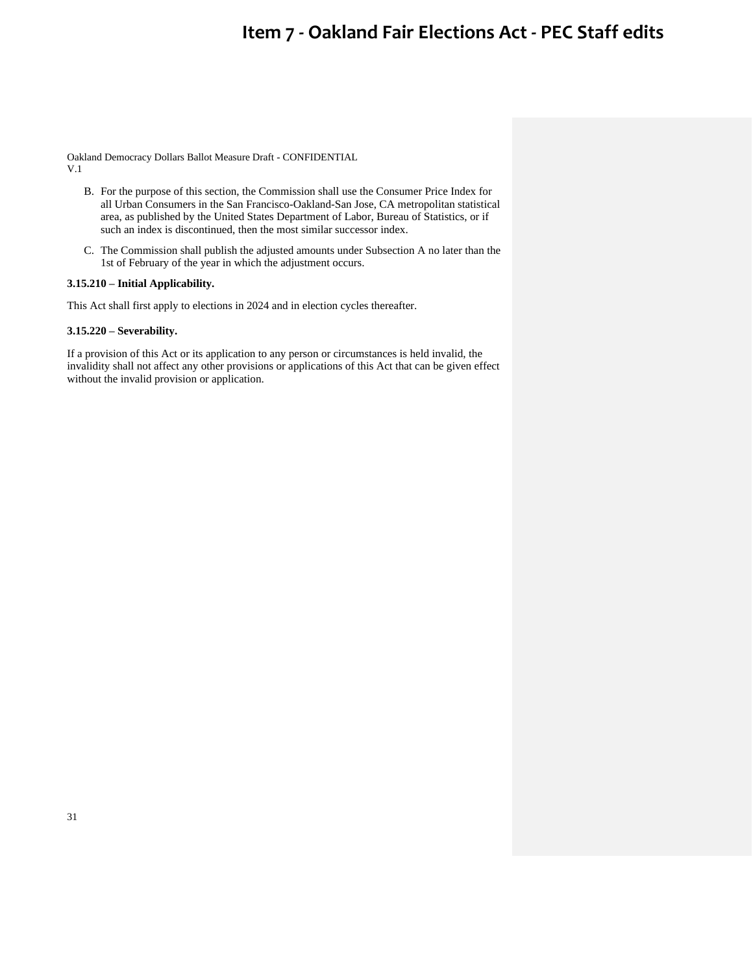Oakland Democracy Dollars Ballot Measure Draft - CONFIDENTIAL V.1

- B. For the purpose of this section, the Commission shall use the Consumer Price Index for all Urban Consumers in the San Francisco-Oakland-San Jose, CA metropolitan statistical area, as published by the United States Department of Labor, Bureau of Statistics, or if such an index is discontinued, then the most similar successor index.
- C. The Commission shall publish the adjusted amounts under Subsection A no later than the 1st of February of the year in which the adjustment occurs.

## **3.15.210 – Initial Applicability.**

This Act shall first apply to elections in 2024 and in election cycles thereafter.

## **3.15.220 – Severability.**

If a provision of this Act or its application to any person or circumstances is held invalid, the invalidity shall not affect any other provisions or applications of this Act that can be given effect without the invalid provision or application.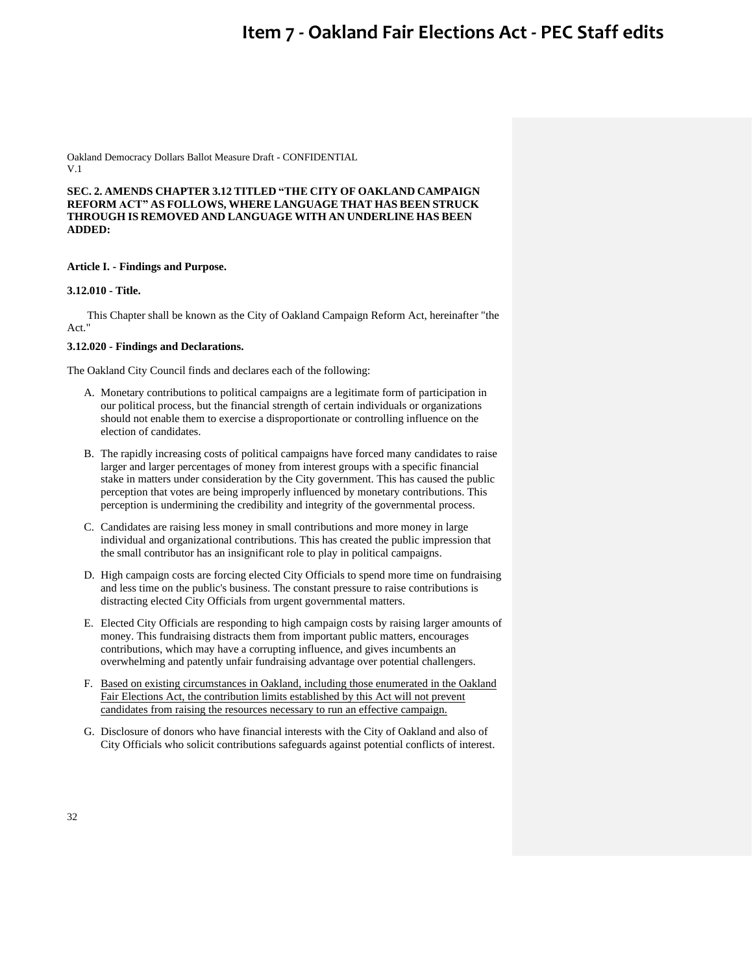Oakland Democracy Dollars Ballot Measure Draft - CONFIDENTIAL V.1

**SEC. 2. AMENDS CHAPTER 3.12 TITLED "THE CITY OF OAKLAND CAMPAIGN REFORM ACT" AS FOLLOWS, WHERE LANGUAGE THAT HAS BEEN STRUCK THROUGH IS REMOVED AND LANGUAGE WITH AN UNDERLINE HAS BEEN ADDED:**

## **Article I. - Findings and Purpose.**

## **3.12.010 - Title.**

This Chapter shall be known as the City of Oakland Campaign Reform Act, hereinafter "the Act."

## **3.12.020 - Findings and Declarations.**

The Oakland City Council finds and declares each of the following:

- A. Monetary contributions to political campaigns are a legitimate form of participation in our political process, but the financial strength of certain individuals or organizations should not enable them to exercise a disproportionate or controlling influence on the election of candidates.
- B. The rapidly increasing costs of political campaigns have forced many candidates to raise larger and larger percentages of money from interest groups with a specific financial stake in matters under consideration by the City government. This has caused the public perception that votes are being improperly influenced by monetary contributions. This perception is undermining the credibility and integrity of the governmental process.
- C. Candidates are raising less money in small contributions and more money in large individual and organizational contributions. This has created the public impression that the small contributor has an insignificant role to play in political campaigns.
- D. High campaign costs are forcing elected City Officials to spend more time on fundraising and less time on the public's business. The constant pressure to raise contributions is distracting elected City Officials from urgent governmental matters.
- E. Elected City Officials are responding to high campaign costs by raising larger amounts of money. This fundraising distracts them from important public matters, encourages contributions, which may have a corrupting influence, and gives incumbents an overwhelming and patently unfair fundraising advantage over potential challengers.
- F. Based on existing circumstances in Oakland, including those enumerated in the Oakland Fair Elections Act, the contribution limits established by this Act will not prevent candidates from raising the resources necessary to run an effective campaign.
- G. Disclosure of donors who have financial interests with the City of Oakland and also of City Officials who solicit contributions safeguards against potential conflicts of interest.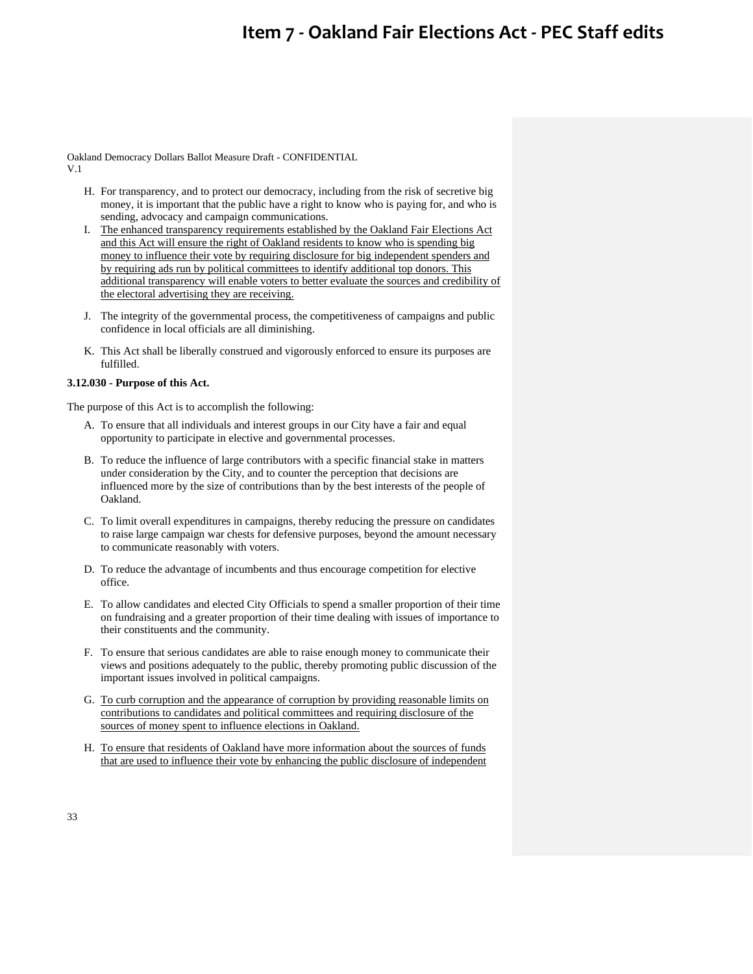Oakland Democracy Dollars Ballot Measure Draft - CONFIDENTIAL V.1

- H. For transparency, and to protect our democracy, including from the risk of secretive big money, it is important that the public have a right to know who is paying for, and who is sending, advocacy and campaign communications.
- I. The enhanced transparency requirements established by the Oakland Fair Elections Act and this Act will ensure the right of Oakland residents to know who is spending big money to influence their vote by requiring disclosure for big independent spenders and by requiring ads run by political committees to identify additional top donors. This additional transparency will enable voters to better evaluate the sources and credibility of the electoral advertising they are receiving.
- J. The integrity of the governmental process, the competitiveness of campaigns and public confidence in local officials are all diminishing.
- K. This Act shall be liberally construed and vigorously enforced to ensure its purposes are fulfilled.

## **3.12.030 - Purpose of this Act.**

The purpose of this Act is to accomplish the following:

- A. To ensure that all individuals and interest groups in our City have a fair and equal opportunity to participate in elective and governmental processes.
- B. To reduce the influence of large contributors with a specific financial stake in matters under consideration by the City, and to counter the perception that decisions are influenced more by the size of contributions than by the best interests of the people of Oakland.
- C. To limit overall expenditures in campaigns, thereby reducing the pressure on candidates to raise large campaign war chests for defensive purposes, beyond the amount necessary to communicate reasonably with voters.
- D. To reduce the advantage of incumbents and thus encourage competition for elective office.
- E. To allow candidates and elected City Officials to spend a smaller proportion of their time on fundraising and a greater proportion of their time dealing with issues of importance to their constituents and the community.
- F. To ensure that serious candidates are able to raise enough money to communicate their views and positions adequately to the public, thereby promoting public discussion of the important issues involved in political campaigns.
- G. To curb corruption and the appearance of corruption by providing reasonable limits on contributions to candidates and political committees and requiring disclosure of the sources of money spent to influence elections in Oakland.
- H. To ensure that residents of Oakland have more information about the sources of funds that are used to influence their vote by enhancing the public disclosure of independent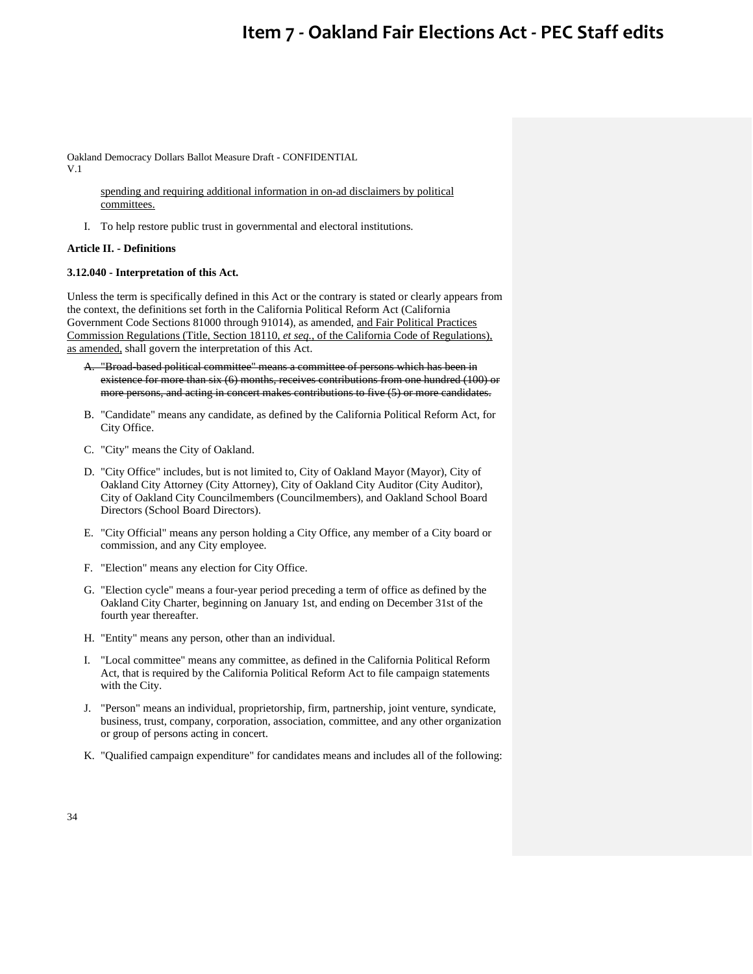Oakland Democracy Dollars Ballot Measure Draft - CONFIDENTIAL V.1

> spending and requiring additional information in on-ad disclaimers by political committees.

I. To help restore public trust in governmental and electoral institutions.

## **Article II. - Definitions**

## **3.12.040 - Interpretation of this Act.**

Unless the term is specifically defined in this Act or the contrary is stated or clearly appears from the context, the definitions set forth in the California Political Reform Act (California Government Code Sections 81000 through 91014), as amended, and Fair Political Practices Commission Regulations (Title, Section 18110, *et seq.*, of the California Code of Regulations), as amended, shall govern the interpretation of this Act.

- A. "Broad-based political committee" means a committee of persons which has been in existence for more than six (6) months, receives contributions from one hundred (100) or more persons, and acting in concert makes contributions to five (5) or more candidates.
- B. "Candidate" means any candidate, as defined by the California Political Reform Act, for City Office.
- C. "City" means the City of Oakland.
- D. "City Office" includes, but is not limited to, City of Oakland Mayor (Mayor), City of Oakland City Attorney (City Attorney), City of Oakland City Auditor (City Auditor), City of Oakland City Councilmembers (Councilmembers), and Oakland School Board Directors (School Board Directors).
- E. "City Official" means any person holding a City Office, any member of a City board or commission, and any City employee.
- F. "Election" means any election for City Office.
- G. "Election cycle" means a four-year period preceding a term of office as defined by the Oakland City Charter, beginning on January 1st, and ending on December 31st of the fourth year thereafter.
- H. "Entity" means any person, other than an individual.
- I. "Local committee" means any committee, as defined in the California Political Reform Act, that is required by the California Political Reform Act to file campaign statements with the City.
- J. "Person" means an individual, proprietorship, firm, partnership, joint venture, syndicate, business, trust, company, corporation, association, committee, and any other organization or group of persons acting in concert.
- K. "Qualified campaign expenditure" for candidates means and includes all of the following: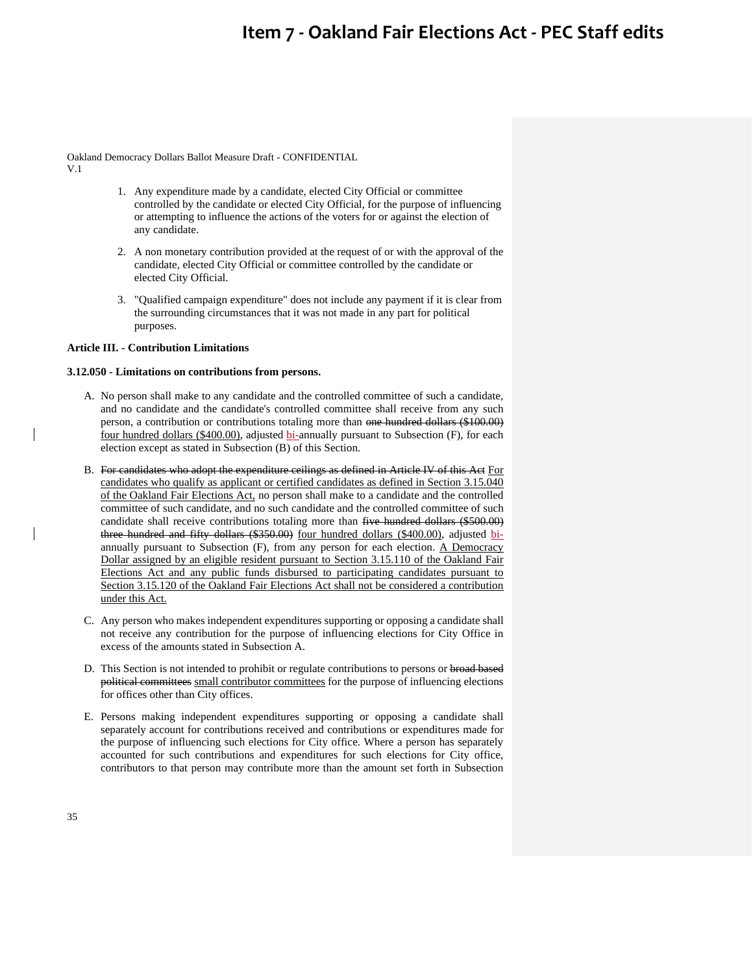Oakland Democracy Dollars Ballot Measure Draft - CONFIDENTIAL V.1

- 1. Any expenditure made by a candidate, elected City Official or committee controlled by the candidate or elected City Official, for the purpose of influencing or attempting to influence the actions of the voters for or against the election of any candidate.
- 2. A non monetary contribution provided at the request of or with the approval of the candidate, elected City Official or committee controlled by the candidate or elected City Official.
- 3. "Qualified campaign expenditure" does not include any payment if it is clear from the surrounding circumstances that it was not made in any part for political purposes.

### **Article III. - Contribution Limitations**

### **3.12.050 - Limitations on contributions from persons.**

- A. No person shall make to any candidate and the controlled committee of such a candidate, and no candidate and the candidate's controlled committee shall receive from any such person, a contribution or contributions totaling more than one hundred dollars (\$100.00) four hundred dollars (\$400.00), adjusted bi-annually pursuant to Subsection (F), for each election except as stated in Subsection (B) of this Section.
- B. For candidates who adopt the expenditure ceilings as defined in Article IV of this Act For candidates who qualify as applicant or certified candidates as defined in Section 3.15.040 of the Oakland Fair Elections Act, no person shall make to a candidate and the controlled committee of such candidate, and no such candidate and the controlled committee of such candidate shall receive contributions totaling more than five hundred dollars (\$500.00) three hundred and fifty dollars (\$350.00) four hundred dollars (\$400.00), adjusted biannually pursuant to Subsection (F), from any person for each election. A Democracy Dollar assigned by an eligible resident pursuant to Section 3.15.110 of the Oakland Fair Elections Act and any public funds disbursed to participating candidates pursuant to Section 3.15.120 of the Oakland Fair Elections Act shall not be considered a contribution under this Act.
- C. Any person who makes independent expenditures supporting or opposing a candidate shall not receive any contribution for the purpose of influencing elections for City Office in excess of the amounts stated in Subsection A.
- D. This Section is not intended to prohibit or regulate contributions to persons or broad based political committees small contributor committees for the purpose of influencing elections for offices other than City offices.
- E. Persons making independent expenditures supporting or opposing a candidate shall separately account for contributions received and contributions or expenditures made for the purpose of influencing such elections for City office. Where a person has separately accounted for such contributions and expenditures for such elections for City office, contributors to that person may contribute more than the amount set forth in Subsection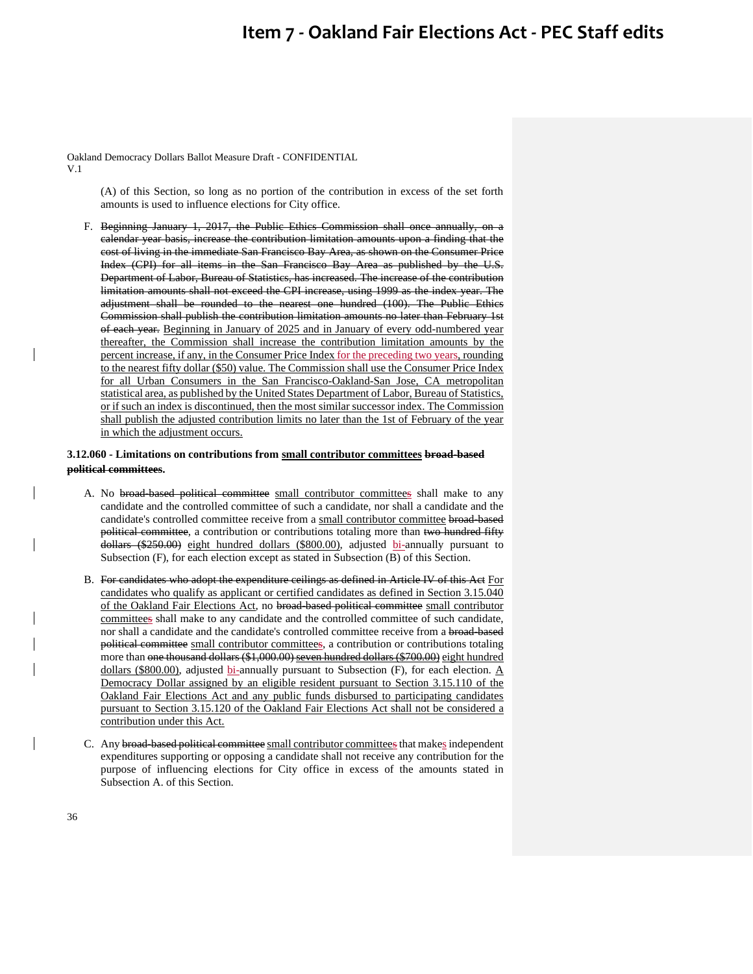Oakland Democracy Dollars Ballot Measure Draft - CONFIDENTIAL V.1

> (A) of this Section, so long as no portion of the contribution in excess of the set forth amounts is used to influence elections for City office.

F. Beginning January 1, 2017, the Public Ethics Commission shall once annually, on a calendar year basis, increase the contribution limitation amounts upon a finding that the cost of living in the immediate San Francisco Bay Area, as shown on the Consumer Price Index (CPI) for all items in the San Francisco Bay Area as published by the U.S. Department of Labor, Bureau of Statistics, has increased. The increase of the contribution limitation amounts shall not exceed the CPI increase, using 1999 as the index year. The adjustment shall be rounded to the nearest one hundred (100). The Public Ethics Commission shall publish the contribution limitation amounts no later than February 1st of each year. Beginning in January of 2025 and in January of every odd-numbered year thereafter, the Commission shall increase the contribution limitation amounts by the percent increase, if any, in the Consumer Price Index for the preceding two years, rounding to the nearest fifty dollar (\$50) value. The Commission shall use the Consumer Price Index for all Urban Consumers in the San Francisco-Oakland-San Jose, CA metropolitan statistical area, as published by the United States Department of Labor, Bureau of Statistics, or if such an index is discontinued, then the most similar successor index. The Commission shall publish the adjusted contribution limits no later than the 1st of February of the year in which the adjustment occurs.

### **3.12.060 - Limitations on contributions from small contributor committees broad-based political committees.**

- A. No broad-based political committee small contributor committees shall make to any candidate and the controlled committee of such a candidate, nor shall a candidate and the candidate's controlled committee receive from a small contributor committee broad-based political committee, a contribution or contributions totaling more than two hundred fifty dollars (\$250.00) eight hundred dollars (\$800.00), adjusted bi-annually pursuant to Subsection (F), for each election except as stated in Subsection (B) of this Section.
- B. For candidates who adopt the expenditure ceilings as defined in Article IV of this Act For candidates who qualify as applicant or certified candidates as defined in Section 3.15.040 of the Oakland Fair Elections Act, no broad-based political committee small contributor committees shall make to any candidate and the controlled committee of such candidate, nor shall a candidate and the candidate's controlled committee receive from a broad-based political committee small contributor committees, a contribution or contributions totaling more than one thousand dollars (\$1,000.00) seven hundred dollars (\$700.00) eight hundred dollars (\$800.00), adjusted bi-annually pursuant to Subsection (F), for each election.  $\underline{A}$ Democracy Dollar assigned by an eligible resident pursuant to Section 3.15.110 of the Oakland Fair Elections Act and any public funds disbursed to participating candidates pursuant to Section 3.15.120 of the Oakland Fair Elections Act shall not be considered a contribution under this Act.
- C. Any broad-based political committee small contributor committees that makes independent expenditures supporting or opposing a candidate shall not receive any contribution for the purpose of influencing elections for City office in excess of the amounts stated in Subsection A. of this Section.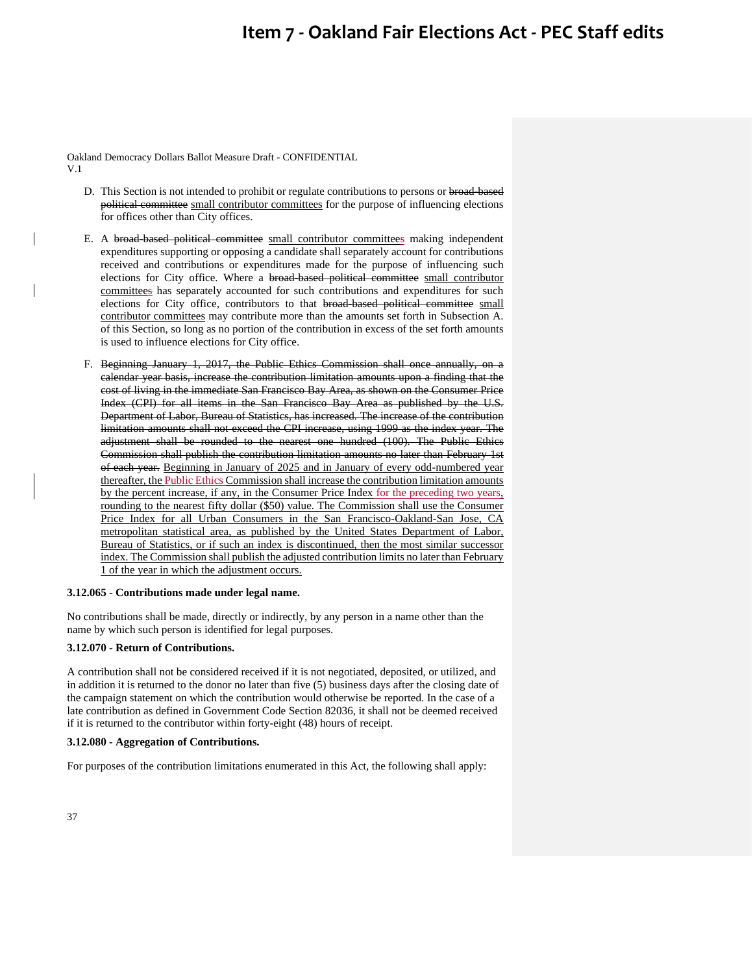Oakland Democracy Dollars Ballot Measure Draft - CONFIDENTIAL V.1

- D. This Section is not intended to prohibit or regulate contributions to persons or broad-based political committee small contributor committees for the purpose of influencing elections for offices other than City offices.
- E. A broad-based political committee small contributor committees making independent expenditures supporting or opposing a candidate shall separately account for contributions received and contributions or expenditures made for the purpose of influencing such elections for City office. Where a broad-based political committee small contributor committees has separately accounted for such contributions and expenditures for such elections for City office, contributors to that broad-based political committee small contributor committees may contribute more than the amounts set forth in Subsection A. of this Section, so long as no portion of the contribution in excess of the set forth amounts is used to influence elections for City office.
- F. Beginning January 1, 2017, the Public Ethics Commission shall once annually, on a calendar year basis, increase the contribution limitation amounts upon a finding that the cost of living in the immediate San Francisco Bay Area, as shown on the Consumer Price Index (CPI) for all items in the San Francisco Bay Area as published by the U.S. Department of Labor, Bureau of Statistics, has increased. The increase of the contribution limitation amounts shall not exceed the CPI increase, using 1999 as the index year. The adjustment shall be rounded to the nearest one hundred (100). The Public Ethics Commission shall publish the contribution limitation amounts no later than February 1st of each year. Beginning in January of 2025 and in January of every odd-numbered year thereafter, the Public Ethics Commission shall increase the contribution limitation amounts by the percent increase, if any, in the Consumer Price Index for the preceding two years, rounding to the nearest fifty dollar (\$50) value. The Commission shall use the Consumer Price Index for all Urban Consumers in the San Francisco-Oakland-San Jose, CA metropolitan statistical area, as published by the United States Department of Labor, Bureau of Statistics, or if such an index is discontinued, then the most similar successor index. The Commission shall publish the adjusted contribution limits no later than February 1 of the year in which the adjustment occurs.

### **3.12.065 - Contributions made under legal name.**

No contributions shall be made, directly or indirectly, by any person in a name other than the name by which such person is identified for legal purposes.

### **3.12.070 - Return of Contributions.**

A contribution shall not be considered received if it is not negotiated, deposited, or utilized, and in addition it is returned to the donor no later than five (5) business days after the closing date of the campaign statement on which the contribution would otherwise be reported. In the case of a late contribution as defined in Government Code Section 82036, it shall not be deemed received if it is returned to the contributor within forty-eight (48) hours of receipt.

### **3.12.080 - Aggregation of Contributions.**

For purposes of the contribution limitations enumerated in this Act, the following shall apply: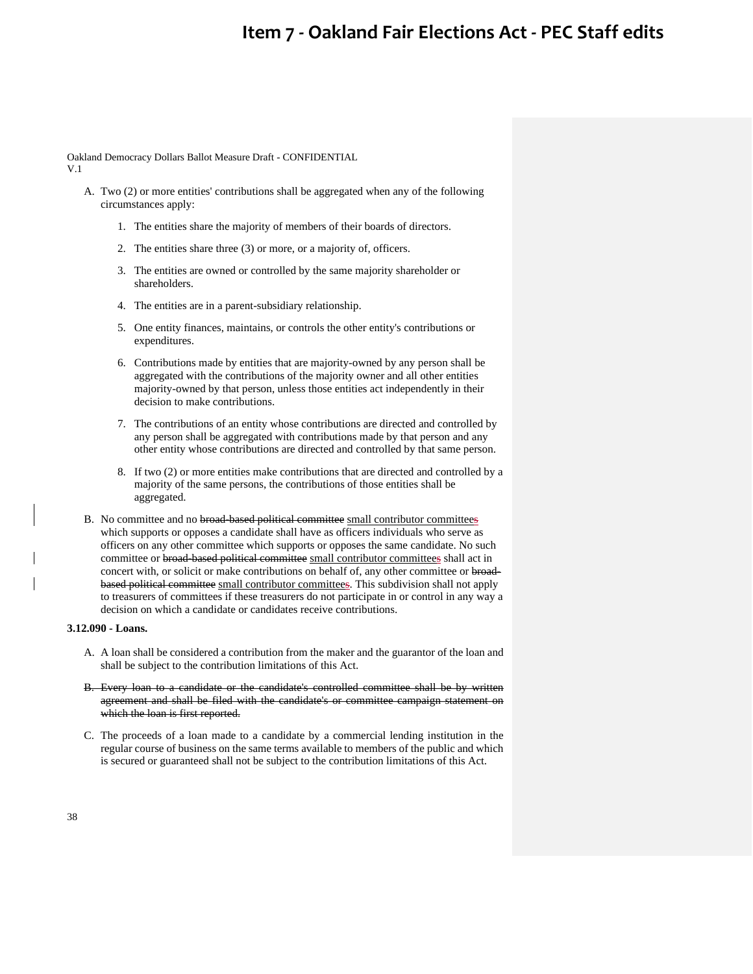Oakland Democracy Dollars Ballot Measure Draft - CONFIDENTIAL V.1

- A. Two (2) or more entities' contributions shall be aggregated when any of the following circumstances apply:
	- 1. The entities share the majority of members of their boards of directors.
	- 2. The entities share three (3) or more, or a majority of, officers.
	- 3. The entities are owned or controlled by the same majority shareholder or shareholders.
	- 4. The entities are in a parent-subsidiary relationship.
	- 5. One entity finances, maintains, or controls the other entity's contributions or expenditures.
	- 6. Contributions made by entities that are majority-owned by any person shall be aggregated with the contributions of the majority owner and all other entities majority-owned by that person, unless those entities act independently in their decision to make contributions.
	- 7. The contributions of an entity whose contributions are directed and controlled by any person shall be aggregated with contributions made by that person and any other entity whose contributions are directed and controlled by that same person.
	- 8. If two (2) or more entities make contributions that are directed and controlled by a majority of the same persons, the contributions of those entities shall be aggregated.
- B. No committee and no broad-based political committee small contributor committees which supports or opposes a candidate shall have as officers individuals who serve as officers on any other committee which supports or opposes the same candidate. No such committee or broad-based political committee small contributor committees shall act in concert with, or solicit or make contributions on behalf of, any other committee or broadbased political committee small contributor committees. This subdivision shall not apply to treasurers of committees if these treasurers do not participate in or control in any way a decision on which a candidate or candidates receive contributions.

## **3.12.090 - Loans.**

- A. A loan shall be considered a contribution from the maker and the guarantor of the loan and shall be subject to the contribution limitations of this Act.
- B. Every loan to a candidate or the candidate's controlled committee shall be by written agreement and shall be filed with the candidate's or committee campaign statement on which the loan is first reported.
- C. The proceeds of a loan made to a candidate by a commercial lending institution in the regular course of business on the same terms available to members of the public and which is secured or guaranteed shall not be subject to the contribution limitations of this Act.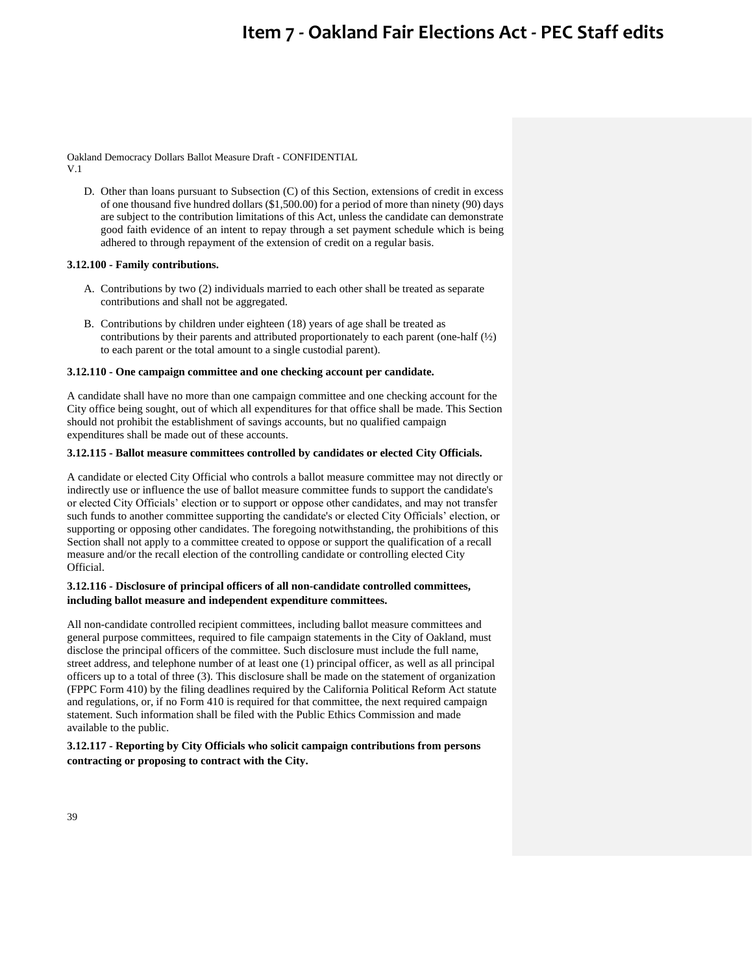Oakland Democracy Dollars Ballot Measure Draft - CONFIDENTIAL V.1

D. Other than loans pursuant to Subsection (C) of this Section, extensions of credit in excess of one thousand five hundred dollars (\$1,500.00) for a period of more than ninety (90) days are subject to the contribution limitations of this Act, unless the candidate can demonstrate good faith evidence of an intent to repay through a set payment schedule which is being adhered to through repayment of the extension of credit on a regular basis.

### **3.12.100 - Family contributions.**

- A. Contributions by two (2) individuals married to each other shall be treated as separate contributions and shall not be aggregated.
- B. Contributions by children under eighteen (18) years of age shall be treated as contributions by their parents and attributed proportionately to each parent (one-half  $\left(\frac{1}{2}\right)$ ) to each parent or the total amount to a single custodial parent).

#### **3.12.110 - One campaign committee and one checking account per candidate.**

A candidate shall have no more than one campaign committee and one checking account for the City office being sought, out of which all expenditures for that office shall be made. This Section should not prohibit the establishment of savings accounts, but no qualified campaign expenditures shall be made out of these accounts.

### **3.12.115 - Ballot measure committees controlled by candidates or elected City Officials.**

A candidate or elected City Official who controls a ballot measure committee may not directly or indirectly use or influence the use of ballot measure committee funds to support the candidate's or elected City Officials' election or to support or oppose other candidates, and may not transfer such funds to another committee supporting the candidate's or elected City Officials' election, or supporting or opposing other candidates. The foregoing notwithstanding, the prohibitions of this Section shall not apply to a committee created to oppose or support the qualification of a recall measure and/or the recall election of the controlling candidate or controlling elected City Official.

## **3.12.116 - Disclosure of principal officers of all non-candidate controlled committees, including ballot measure and independent expenditure committees.**

All non-candidate controlled recipient committees, including ballot measure committees and general purpose committees, required to file campaign statements in the City of Oakland, must disclose the principal officers of the committee. Such disclosure must include the full name, street address, and telephone number of at least one (1) principal officer, as well as all principal officers up to a total of three (3). This disclosure shall be made on the statement of organization (FPPC Form 410) by the filing deadlines required by the California Political Reform Act statute and regulations, or, if no Form 410 is required for that committee, the next required campaign statement. Such information shall be filed with the Public Ethics Commission and made available to the public.

## **3.12.117 - Reporting by City Officials who solicit campaign contributions from persons contracting or proposing to contract with the City.**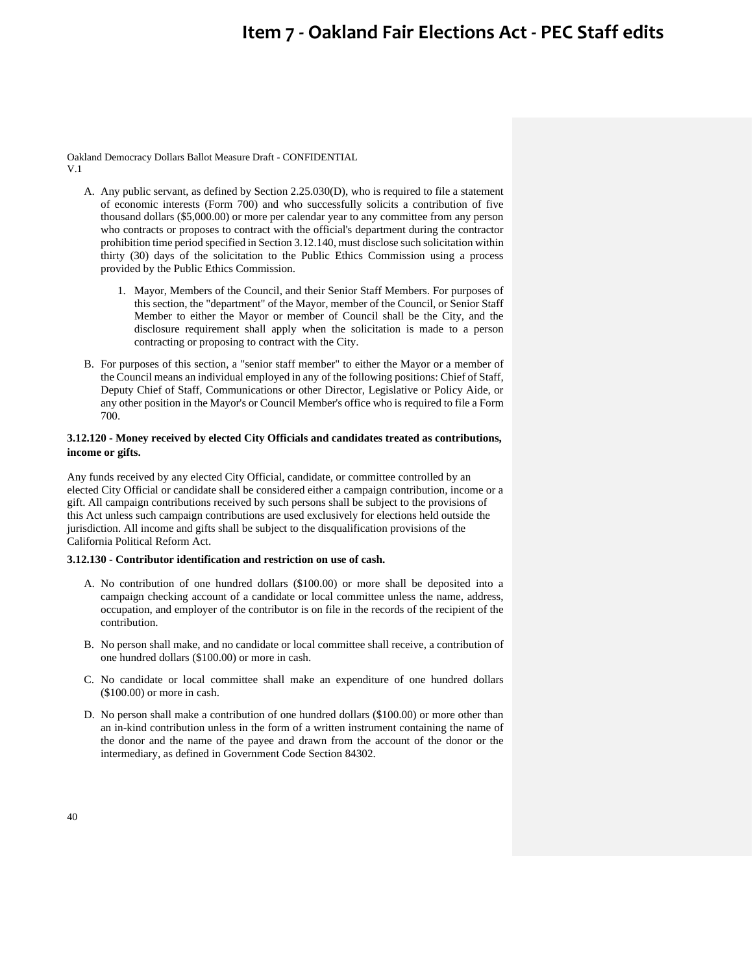Oakland Democracy Dollars Ballot Measure Draft - CONFIDENTIAL V.1

- A. Any public servant, as defined by Section 2.25.030(D), who is required to file a statement of economic interests (Form 700) and who successfully solicits a contribution of five thousand dollars (\$5,000.00) or more per calendar year to any committee from any person who contracts or proposes to contract with the official's department during the contractor prohibition time period specified in Section 3.12.140, must disclose such solicitation within thirty (30) days of the solicitation to the Public Ethics Commission using a process provided by the Public Ethics Commission.
	- 1. Mayor, Members of the Council, and their Senior Staff Members. For purposes of this section, the "department" of the Mayor, member of the Council, or Senior Staff Member to either the Mayor or member of Council shall be the City, and the disclosure requirement shall apply when the solicitation is made to a person contracting or proposing to contract with the City.
- B. For purposes of this section, a "senior staff member" to either the Mayor or a member of the Council means an individual employed in any of the following positions: Chief of Staff, Deputy Chief of Staff, Communications or other Director, Legislative or Policy Aide, or any other position in the Mayor's or Council Member's office who is required to file a Form 700.

## **3.12.120 - Money received by elected City Officials and candidates treated as contributions, income or gifts.**

Any funds received by any elected City Official, candidate, or committee controlled by an elected City Official or candidate shall be considered either a campaign contribution, income or a gift. All campaign contributions received by such persons shall be subject to the provisions of this Act unless such campaign contributions are used exclusively for elections held outside the jurisdiction. All income and gifts shall be subject to the disqualification provisions of the California Political Reform Act.

## **3.12.130 - Contributor identification and restriction on use of cash.**

- A. No contribution of one hundred dollars (\$100.00) or more shall be deposited into a campaign checking account of a candidate or local committee unless the name, address, occupation, and employer of the contributor is on file in the records of the recipient of the contribution.
- B. No person shall make, and no candidate or local committee shall receive, a contribution of one hundred dollars (\$100.00) or more in cash.
- C. No candidate or local committee shall make an expenditure of one hundred dollars (\$100.00) or more in cash.
- D. No person shall make a contribution of one hundred dollars (\$100.00) or more other than an in-kind contribution unless in the form of a written instrument containing the name of the donor and the name of the payee and drawn from the account of the donor or the intermediary, as defined in Government Code Section 84302.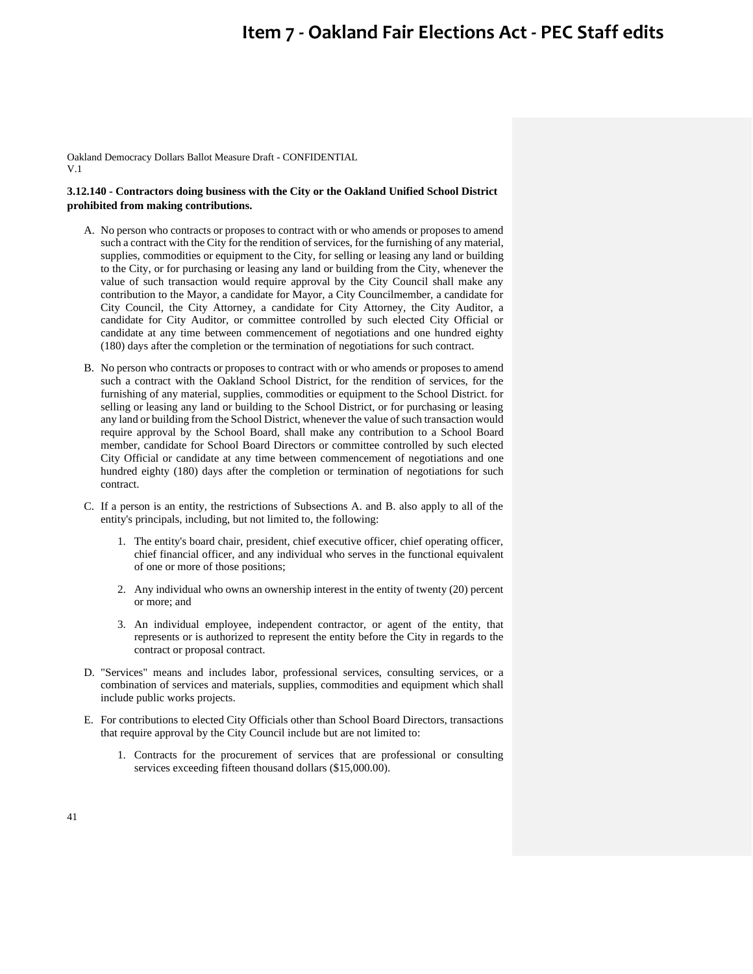Oakland Democracy Dollars Ballot Measure Draft - CONFIDENTIAL V.1

## **3.12.140 - Contractors doing business with the City or the Oakland Unified School District prohibited from making contributions.**

- A. No person who contracts or proposes to contract with or who amends or proposes to amend such a contract with the City for the rendition of services, for the furnishing of any material, supplies, commodities or equipment to the City, for selling or leasing any land or building to the City, or for purchasing or leasing any land or building from the City, whenever the value of such transaction would require approval by the City Council shall make any contribution to the Mayor, a candidate for Mayor, a City Councilmember, a candidate for City Council, the City Attorney, a candidate for City Attorney, the City Auditor, a candidate for City Auditor, or committee controlled by such elected City Official or candidate at any time between commencement of negotiations and one hundred eighty (180) days after the completion or the termination of negotiations for such contract.
- B. No person who contracts or proposes to contract with or who amends or proposes to amend such a contract with the Oakland School District, for the rendition of services, for the furnishing of any material, supplies, commodities or equipment to the School District. for selling or leasing any land or building to the School District, or for purchasing or leasing any land or building from the School District, whenever the value of such transaction would require approval by the School Board, shall make any contribution to a School Board member, candidate for School Board Directors or committee controlled by such elected City Official or candidate at any time between commencement of negotiations and one hundred eighty (180) days after the completion or termination of negotiations for such contract.
- C. If a person is an entity, the restrictions of Subsections A. and B. also apply to all of the entity's principals, including, but not limited to, the following:
	- 1. The entity's board chair, president, chief executive officer, chief operating officer, chief financial officer, and any individual who serves in the functional equivalent of one or more of those positions;
	- 2. Any individual who owns an ownership interest in the entity of twenty (20) percent or more; and
	- 3. An individual employee, independent contractor, or agent of the entity, that represents or is authorized to represent the entity before the City in regards to the contract or proposal contract.
- D. "Services" means and includes labor, professional services, consulting services, or a combination of services and materials, supplies, commodities and equipment which shall include public works projects.
- E. For contributions to elected City Officials other than School Board Directors, transactions that require approval by the City Council include but are not limited to:
	- 1. Contracts for the procurement of services that are professional or consulting services exceeding fifteen thousand dollars (\$15,000.00).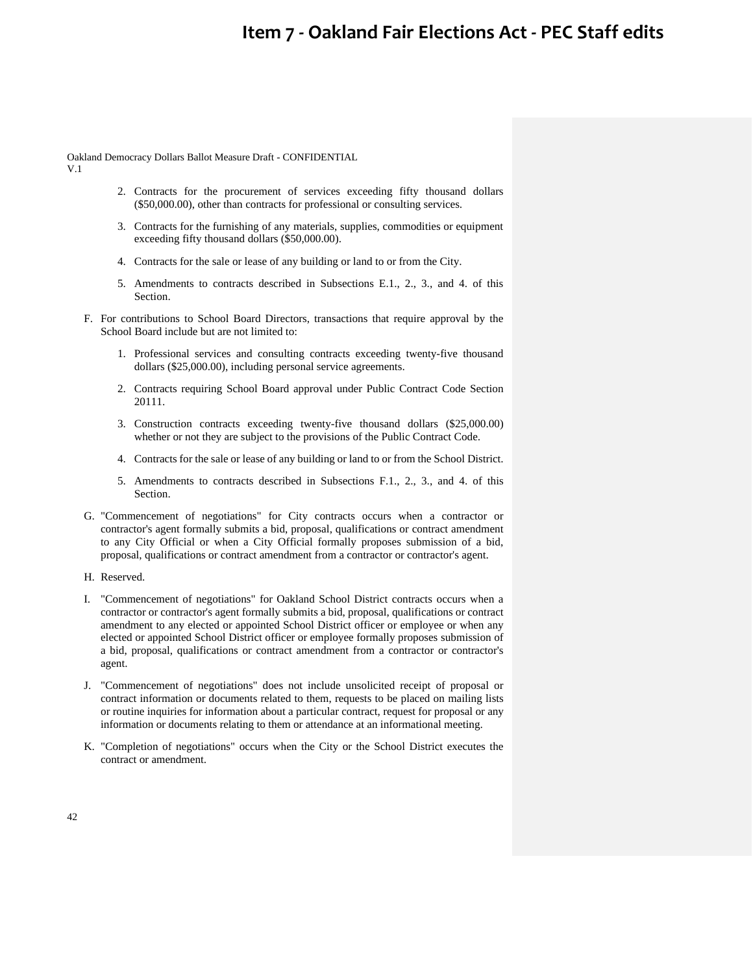Oakland Democracy Dollars Ballot Measure Draft - CONFIDENTIAL

V.1

- 2. Contracts for the procurement of services exceeding fifty thousand dollars (\$50,000.00), other than contracts for professional or consulting services.
- 3. Contracts for the furnishing of any materials, supplies, commodities or equipment exceeding fifty thousand dollars (\$50,000.00).
- 4. Contracts for the sale or lease of any building or land to or from the City.
- 5. Amendments to contracts described in Subsections E.1., 2., 3., and 4. of this Section.
- F. For contributions to School Board Directors, transactions that require approval by the School Board include but are not limited to:
	- 1. Professional services and consulting contracts exceeding twenty-five thousand dollars (\$25,000.00), including personal service agreements.
	- 2. Contracts requiring School Board approval under Public Contract Code Section 20111.
	- 3. Construction contracts exceeding twenty-five thousand dollars (\$25,000.00) whether or not they are subject to the provisions of the Public Contract Code.
	- 4. Contracts for the sale or lease of any building or land to or from the School District.
	- 5. Amendments to contracts described in Subsections F.1., 2., 3., and 4. of this Section.
- G. "Commencement of negotiations" for City contracts occurs when a contractor or contractor's agent formally submits a bid, proposal, qualifications or contract amendment to any City Official or when a City Official formally proposes submission of a bid, proposal, qualifications or contract amendment from a contractor or contractor's agent.
- H. Reserved.
- I. "Commencement of negotiations" for Oakland School District contracts occurs when a contractor or contractor's agent formally submits a bid, proposal, qualifications or contract amendment to any elected or appointed School District officer or employee or when any elected or appointed School District officer or employee formally proposes submission of a bid, proposal, qualifications or contract amendment from a contractor or contractor's agent.
- J. "Commencement of negotiations" does not include unsolicited receipt of proposal or contract information or documents related to them, requests to be placed on mailing lists or routine inquiries for information about a particular contract, request for proposal or any information or documents relating to them or attendance at an informational meeting.
- K. "Completion of negotiations" occurs when the City or the School District executes the contract or amendment.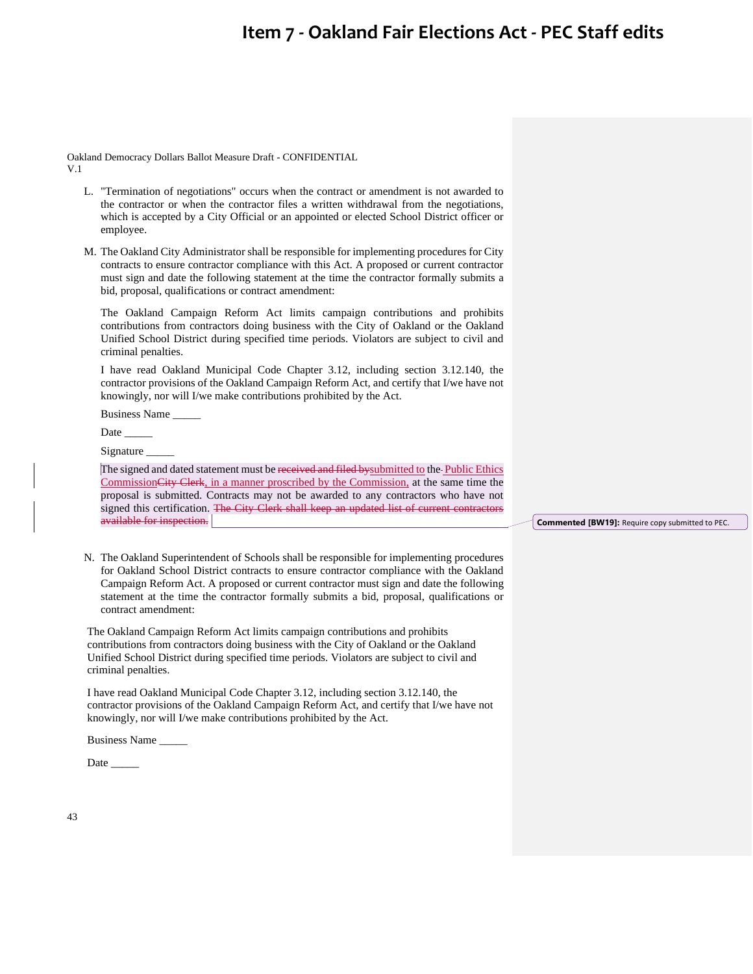Oakland Democracy Dollars Ballot Measure Draft - CONFIDENTIAL V.1

- L. "Termination of negotiations" occurs when the contract or amendment is not awarded to the contractor or when the contractor files a written withdrawal from the negotiations, which is accepted by a City Official or an appointed or elected School District officer or employee.
- M. The Oakland City Administrator shall be responsible for implementing procedures for City contracts to ensure contractor compliance with this Act. A proposed or current contractor must sign and date the following statement at the time the contractor formally submits a bid, proposal, qualifications or contract amendment:

The Oakland Campaign Reform Act limits campaign contributions and prohibits contributions from contractors doing business with the City of Oakland or the Oakland Unified School District during specified time periods. Violators are subject to civil and criminal penalties.

I have read Oakland Municipal Code Chapter 3.12, including section 3.12.140, the contractor provisions of the Oakland Campaign Reform Act, and certify that I/we have not knowingly, nor will I/we make contributions prohibited by the Act.

Business Name \_\_\_\_\_

Date

Signature

The signed and dated statement must be received and filed by submitted to the Public Ethics CommissionCity Clerk, in a manner proscribed by the Commission, at the same time the proposal is submitted. Contracts may not be awarded to any contractors who have not signed this certification. The City Clerk shall keep an updated list of current contractors available for inspection.

N. The Oakland Superintendent of Schools shall be responsible for implementing procedures for Oakland School District contracts to ensure contractor compliance with the Oakland Campaign Reform Act. A proposed or current contractor must sign and date the following statement at the time the contractor formally submits a bid, proposal, qualifications or contract amendment:

The Oakland Campaign Reform Act limits campaign contributions and prohibits contributions from contractors doing business with the City of Oakland or the Oakland Unified School District during specified time periods. Violators are subject to civil and criminal penalties.

I have read Oakland Municipal Code Chapter 3.12, including section 3.12.140, the contractor provisions of the Oakland Campaign Reform Act, and certify that I/we have not knowingly, nor will I/we make contributions prohibited by the Act.

Business Name \_\_\_\_\_

Date

43

#### **Commented [BW19]:** Require copy submitted to PEC.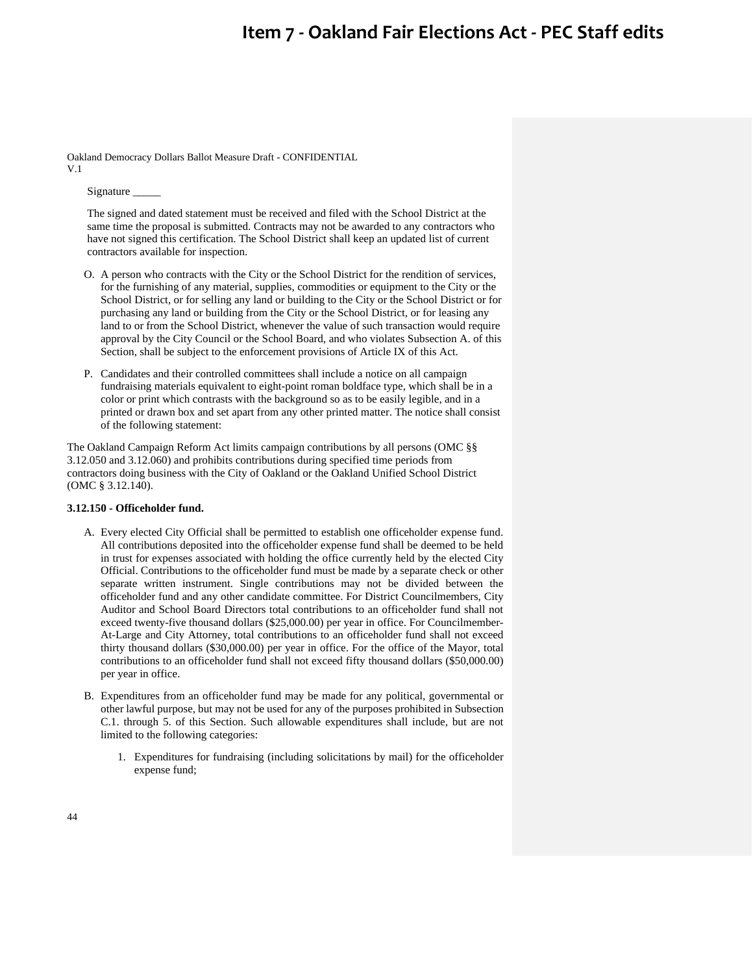Oakland Democracy Dollars Ballot Measure Draft - CONFIDENTIAL V.1

Signature \_\_\_\_\_

The signed and dated statement must be received and filed with the School District at the same time the proposal is submitted. Contracts may not be awarded to any contractors who have not signed this certification. The School District shall keep an updated list of current contractors available for inspection.

- O. A person who contracts with the City or the School District for the rendition of services, for the furnishing of any material, supplies, commodities or equipment to the City or the School District, or for selling any land or building to the City or the School District or for purchasing any land or building from the City or the School District, or for leasing any land to or from the School District, whenever the value of such transaction would require approval by the City Council or the School Board, and who violates Subsection A. of this Section, shall be subject to the enforcement provisions of Article IX of this Act.
- P. Candidates and their controlled committees shall include a notice on all campaign fundraising materials equivalent to eight-point roman boldface type, which shall be in a color or print which contrasts with the background so as to be easily legible, and in a printed or drawn box and set apart from any other printed matter. The notice shall consist of the following statement:

The Oakland Campaign Reform Act limits campaign contributions by all persons (OMC §§ 3.12.050 and 3.12.060) and prohibits contributions during specified time periods from contractors doing business with the City of Oakland or the Oakland Unified School District (OMC § 3.12.140).

### **3.12.150 - Officeholder fund.**

- A. Every elected City Official shall be permitted to establish one officeholder expense fund. All contributions deposited into the officeholder expense fund shall be deemed to be held in trust for expenses associated with holding the office currently held by the elected City Official. Contributions to the officeholder fund must be made by a separate check or other separate written instrument. Single contributions may not be divided between the officeholder fund and any other candidate committee. For District Councilmembers, City Auditor and School Board Directors total contributions to an officeholder fund shall not exceed twenty-five thousand dollars (\$25,000.00) per year in office. For Councilmember-At-Large and City Attorney, total contributions to an officeholder fund shall not exceed thirty thousand dollars (\$30,000.00) per year in office. For the office of the Mayor, total contributions to an officeholder fund shall not exceed fifty thousand dollars (\$50,000.00) per year in office.
- B. Expenditures from an officeholder fund may be made for any political, governmental or other lawful purpose, but may not be used for any of the purposes prohibited in Subsection C.1. through 5. of this Section. Such allowable expenditures shall include, but are not limited to the following categories:
	- 1. Expenditures for fundraising (including solicitations by mail) for the officeholder expense fund;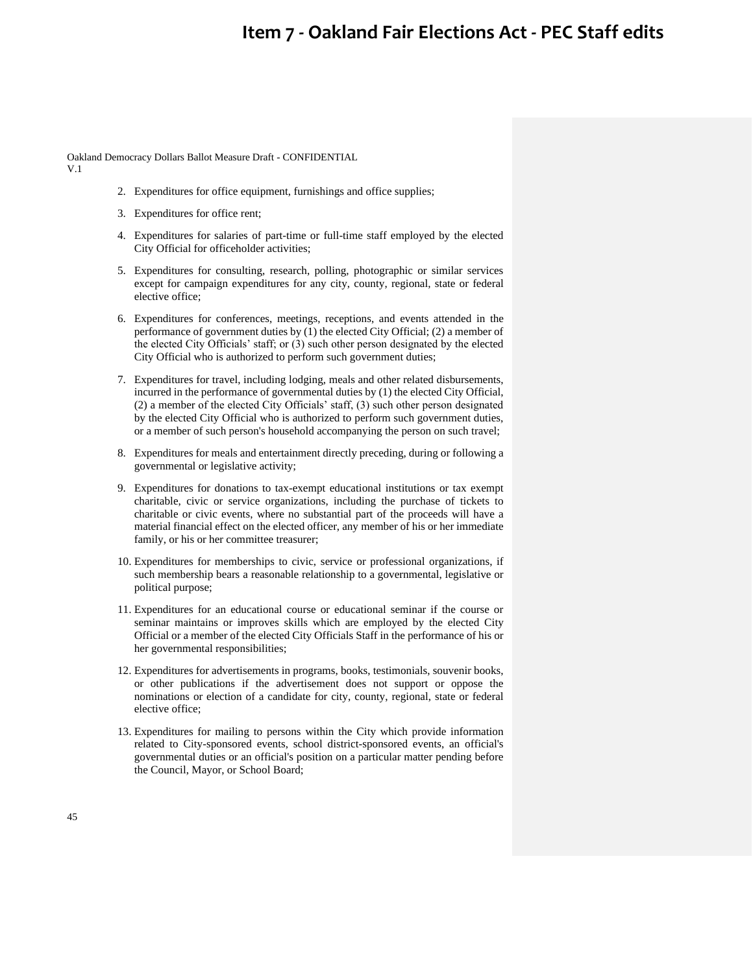Oakland Democracy Dollars Ballot Measure Draft - CONFIDENTIAL

V.1

- 2. Expenditures for office equipment, furnishings and office supplies;
- 3. Expenditures for office rent;
- 4. Expenditures for salaries of part-time or full-time staff employed by the elected City Official for officeholder activities;
- 5. Expenditures for consulting, research, polling, photographic or similar services except for campaign expenditures for any city, county, regional, state or federal elective office;
- 6. Expenditures for conferences, meetings, receptions, and events attended in the performance of government duties by (1) the elected City Official; (2) a member of the elected City Officials' staff; or (3) such other person designated by the elected City Official who is authorized to perform such government duties;
- 7. Expenditures for travel, including lodging, meals and other related disbursements, incurred in the performance of governmental duties by (1) the elected City Official, (2) a member of the elected City Officials' staff, (3) such other person designated by the elected City Official who is authorized to perform such government duties, or a member of such person's household accompanying the person on such travel;
- 8. Expenditures for meals and entertainment directly preceding, during or following a governmental or legislative activity;
- 9. Expenditures for donations to tax-exempt educational institutions or tax exempt charitable, civic or service organizations, including the purchase of tickets to charitable or civic events, where no substantial part of the proceeds will have a material financial effect on the elected officer, any member of his or her immediate family, or his or her committee treasurer;
- 10. Expenditures for memberships to civic, service or professional organizations, if such membership bears a reasonable relationship to a governmental, legislative or political purpose;
- 11. Expenditures for an educational course or educational seminar if the course or seminar maintains or improves skills which are employed by the elected City Official or a member of the elected City Officials Staff in the performance of his or her governmental responsibilities;
- 12. Expenditures for advertisements in programs, books, testimonials, souvenir books, or other publications if the advertisement does not support or oppose the nominations or election of a candidate for city, county, regional, state or federal elective office;
- 13. Expenditures for mailing to persons within the City which provide information related to City-sponsored events, school district-sponsored events, an official's governmental duties or an official's position on a particular matter pending before the Council, Mayor, or School Board;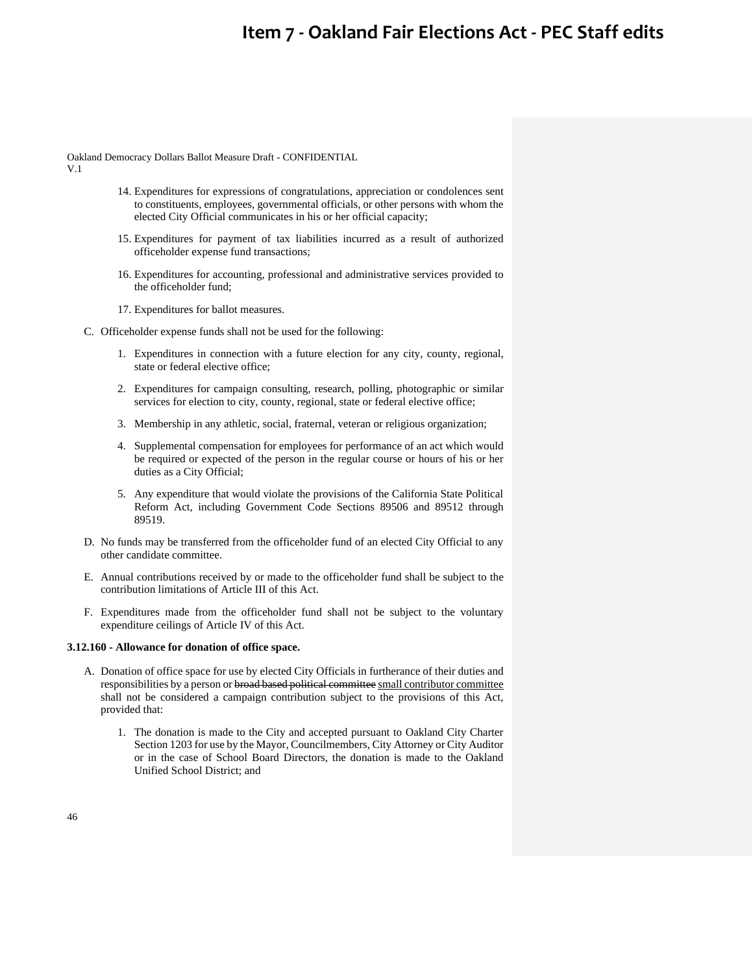Oakland Democracy Dollars Ballot Measure Draft - CONFIDENTIAL

V.1

- 14. Expenditures for expressions of congratulations, appreciation or condolences sent to constituents, employees, governmental officials, or other persons with whom the elected City Official communicates in his or her official capacity;
- 15. Expenditures for payment of tax liabilities incurred as a result of authorized officeholder expense fund transactions;
- 16. Expenditures for accounting, professional and administrative services provided to the officeholder fund;
- 17. Expenditures for ballot measures.
- C. Officeholder expense funds shall not be used for the following:
	- 1. Expenditures in connection with a future election for any city, county, regional, state or federal elective office;
	- 2. Expenditures for campaign consulting, research, polling, photographic or similar services for election to city, county, regional, state or federal elective office;
	- 3. Membership in any athletic, social, fraternal, veteran or religious organization;
	- 4. Supplemental compensation for employees for performance of an act which would be required or expected of the person in the regular course or hours of his or her duties as a City Official;
	- 5. Any expenditure that would violate the provisions of the California State Political Reform Act, including Government Code Sections 89506 and 89512 through 89519.
- D. No funds may be transferred from the officeholder fund of an elected City Official to any other candidate committee.
- E. Annual contributions received by or made to the officeholder fund shall be subject to the contribution limitations of Article III of this Act.
- F. Expenditures made from the officeholder fund shall not be subject to the voluntary expenditure ceilings of Article IV of this Act.

### **3.12.160 - Allowance for donation of office space.**

- A. Donation of office space for use by elected City Officials in furtherance of their duties and responsibilities by a person or broad based political committee small contributor committee shall not be considered a campaign contribution subject to the provisions of this Act, provided that:
	- 1. The donation is made to the City and accepted pursuant to Oakland City Charter Section 1203 for use by the Mayor, Councilmembers, City Attorney or City Auditor or in the case of School Board Directors, the donation is made to the Oakland Unified School District; and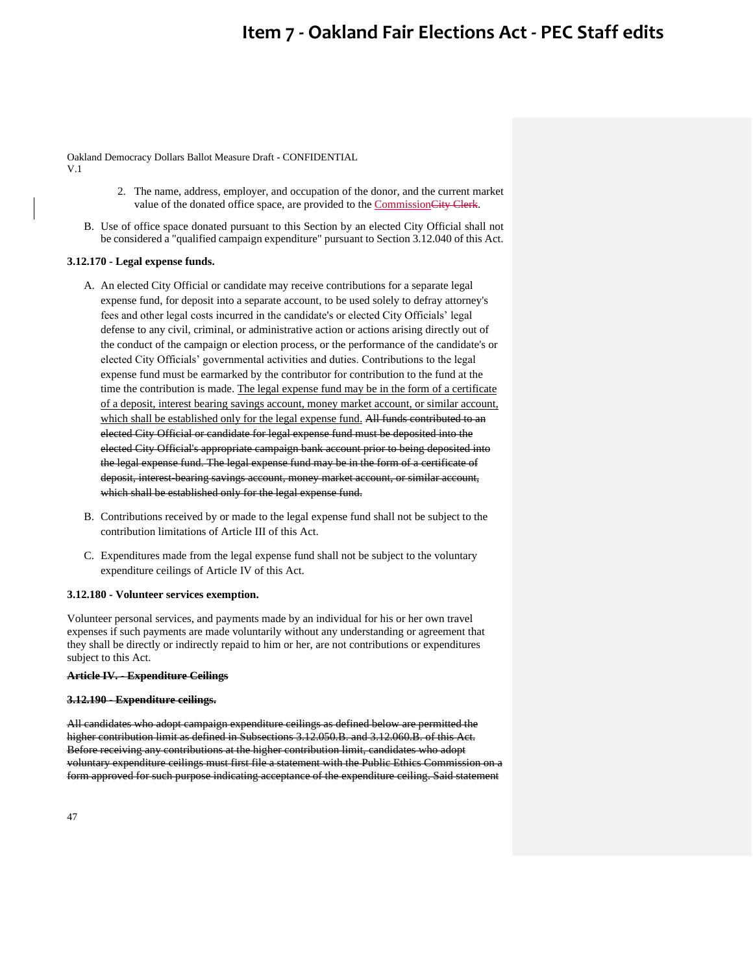Oakland Democracy Dollars Ballot Measure Draft - CONFIDENTIAL V.1

- 2. The name, address, employer, and occupation of the donor, and the current market value of the donated office space, are provided to the CommissionCity Clerk.
- B. Use of office space donated pursuant to this Section by an elected City Official shall not be considered a "qualified campaign expenditure" pursuant to Section 3.12.040 of this Act.

### **3.12.170 - Legal expense funds.**

- A. An elected City Official or candidate may receive contributions for a separate legal expense fund, for deposit into a separate account, to be used solely to defray attorney's fees and other legal costs incurred in the candidate's or elected City Officials' legal defense to any civil, criminal, or administrative action or actions arising directly out of the conduct of the campaign or election process, or the performance of the candidate's or elected City Officials' governmental activities and duties. Contributions to the legal expense fund must be earmarked by the contributor for contribution to the fund at the time the contribution is made. The legal expense fund may be in the form of a certificate of a deposit, interest bearing savings account, money market account, or similar account, which shall be established only for the legal expense fund. All funds contributed to an elected City Official or candidate for legal expense fund must be deposited into the elected City Official's appropriate campaign bank account prior to being deposited into the legal expense fund. The legal expense fund may be in the form of a certificate of deposit, interest-bearing savings account, money market account, or similar account, which shall be established only for the legal expense fund.
- B. Contributions received by or made to the legal expense fund shall not be subject to the contribution limitations of Article III of this Act.
- C. Expenditures made from the legal expense fund shall not be subject to the voluntary expenditure ceilings of Article IV of this Act.

### **3.12.180 - Volunteer services exemption.**

Volunteer personal services, and payments made by an individual for his or her own travel expenses if such payments are made voluntarily without any understanding or agreement that they shall be directly or indirectly repaid to him or her, are not contributions or expenditures subject to this Act.

### **Article IV. - Expenditure Ceilings**

#### **3.12.190 - Expenditure ceilings.**

All candidates who adopt campaign expenditure ceilings as defined below are permitted the higher contribution limit as defined in Subsections 3.12.050.B. and 3.12.060.B. of this Act. Before receiving any contributions at the higher contribution limit, candidates who adopt voluntary expenditure ceilings must first file a statement with the Public Ethics Commission on a form approved for such purpose indicating acceptance of the expenditure ceiling. Said statement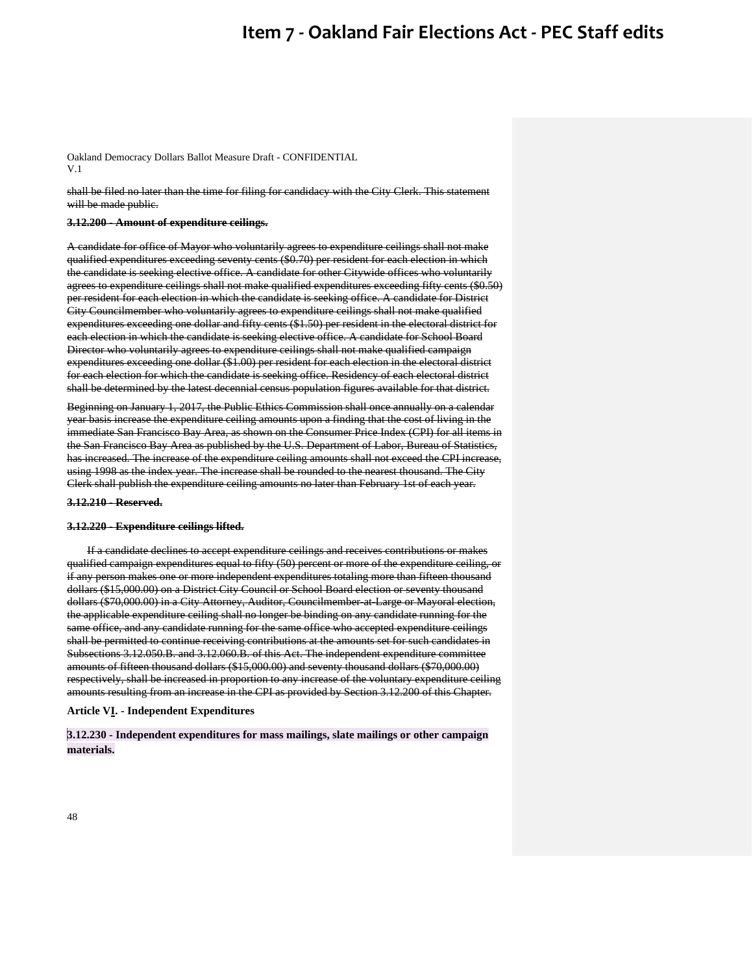Oakland Democracy Dollars Ballot Measure Draft - CONFIDENTIAL V.1

shall be filed no later than the time for filing for candidacy with the City Clerk. This statement will be made public.

#### **3.12.200 - Amount of expenditure ceilings.**

A candidate for office of Mayor who voluntarily agrees to expenditure ceilings shall not make qualified expenditures exceeding seventy cents (\$0.70) per resident for each election in which the candidate is seeking elective office. A candidate for other Citywide offices who voluntarily agrees to expenditure ceilings shall not make qualified expenditures exceeding fifty cents (\$0.50) per resident for each election in which the candidate is seeking office. A candidate for District City Councilmember who voluntarily agrees to expenditure ceilings shall not make qualified expenditures exceeding one dollar and fifty cents (\$1.50) per resident in the electoral district for each election in which the candidate is seeking elective office. A candidate for School Board Director who voluntarily agrees to expenditure ceilings shall not make qualified campaign expenditures exceeding one dollar (\$1.00) per resident for each election in the electoral district for each election for which the candidate is seeking office. Residency of each electoral district shall be determined by the latest decennial census population figures available for that district.

Beginning on January 1, 2017, the Public Ethics Commission shall once annually on a calendar year basis increase the expenditure ceiling amounts upon a finding that the cost of living in the immediate San Francisco Bay Area, as shown on the Consumer Price Index (CPI) for all items in the San Francisco Bay Area as published by the U.S. Department of Labor, Bureau of Statistics, has increased. The increase of the expenditure ceiling amounts shall not exceed the CPI increase, using 1998 as the index year. The increase shall be rounded to the nearest thousand. The City Clerk shall publish the expenditure ceiling amounts no later than February 1st of each year.

#### **3.12.210 - Reserved.**

#### **3.12.220 - Expenditure ceilings lifted.**

If a candidate declines to accept expenditure ceilings and receives contributions or makes qualified campaign expenditures equal to fifty (50) percent or more of the expenditure ceiling, or if any person makes one or more independent expenditures totaling more than fifteen thousand dollars (\$15,000.00) on a District City Council or School Board election or seventy thousand dollars (\$70,000.00) in a City Attorney, Auditor, Councilmember-at-Large or Mayoral election, the applicable expenditure ceiling shall no longer be binding on any candidate running for the same office, and any candidate running for the same office who accepted expenditure ceilings shall be permitted to continue receiving contributions at the amounts set for such candidates in Subsections 3.12.050.B. and 3.12.060.B. of this Act. The independent expenditure committee amounts of fifteen thousand dollars (\$15,000.00) and seventy thousand dollars (\$70,000.00) respectively, shall be increased in proportion to any increase of the voluntary expenditure ceiling amounts resulting from an increase in the CPI as provided by Section 3.12.200 of this Chapter.

#### **Article VI. - Independent Expenditures**

**3.12.230 - Independent expenditures for mass mailings, slate mailings or other campaign materials.**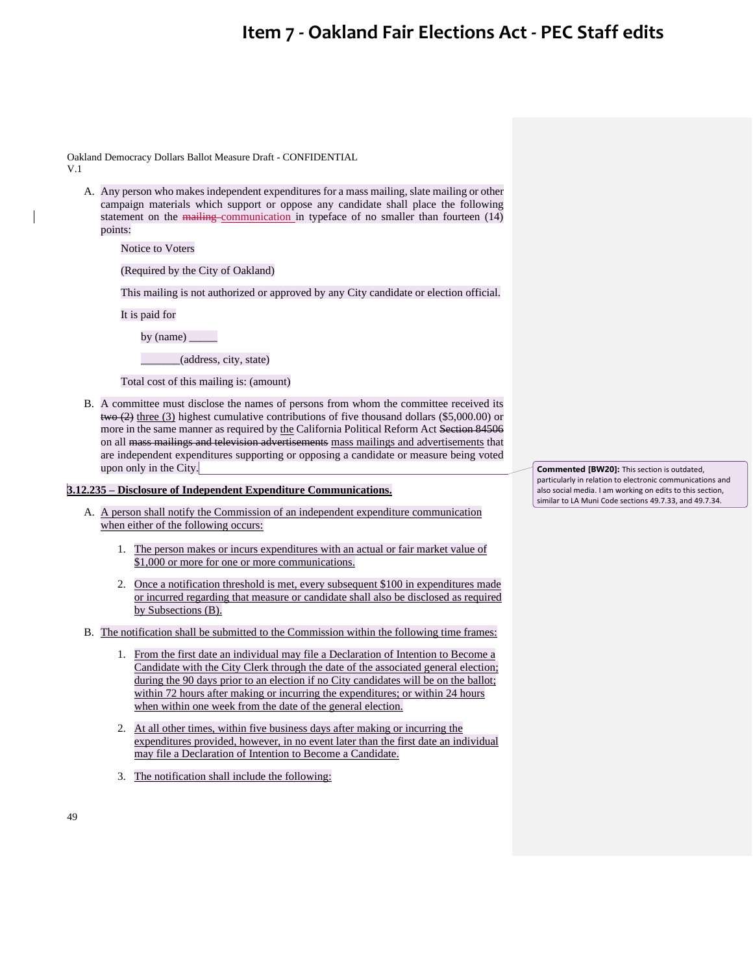Oakland Democracy Dollars Ballot Measure Draft - CONFIDENTIAL V.1

A. Any person who makes independent expenditures for a mass mailing, slate mailing or other campaign materials which support or oppose any candidate shall place the following statement on the mailing communication in typeface of no smaller than fourteen (14) points:

Notice to Voters

(Required by the City of Oakland)

This mailing is not authorized or approved by any City candidate or election official.

It is paid for

by (name) \_\_\_\_\_

\_\_\_\_\_\_\_(address, city, state)

Total cost of this mailing is: (amount)

B. A committee must disclose the names of persons from whom the committee received its  $t_{\text{two}}$  (2) three (3) highest cumulative contributions of five thousand dollars (\$5,000.00) or more in the same manner as required by the California Political Reform Act Section 84506 on all mass mailings and television advertisements mass mailings and advertisements that are independent expenditures supporting or opposing a candidate or measure being voted upon only in the City.

### **3.12.235 – Disclosure of Independent Expenditure Communications.**

- A. A person shall notify the Commission of an independent expenditure communication when either of the following occurs:
	- 1. The person makes or incurs expenditures with an actual or fair market value of \$1,000 or more for one or more communications.
	- 2. Once a notification threshold is met, every subsequent \$100 in expenditures made or incurred regarding that measure or candidate shall also be disclosed as required by Subsections (B).
- B. The notification shall be submitted to the Commission within the following time frames:
	- 1. From the first date an individual may file a Declaration of Intention to Become a Candidate with the City Clerk through the date of the associated general election; during the 90 days prior to an election if no City candidates will be on the ballot; within 72 hours after making or incurring the expenditures; or within 24 hours when within one week from the date of the general election.
	- 2. At all other times, within five business days after making or incurring the expenditures provided, however, in no event later than the first date an individual may file a Declaration of Intention to Become a Candidate.
	- 3. The notification shall include the following:

**Commented [BW20]:** This section is outdated, particularly in relation to electronic communications and also social media. I am working on edits to this section, similar to LA Muni Code sections 49.7.33, and 49.7.34.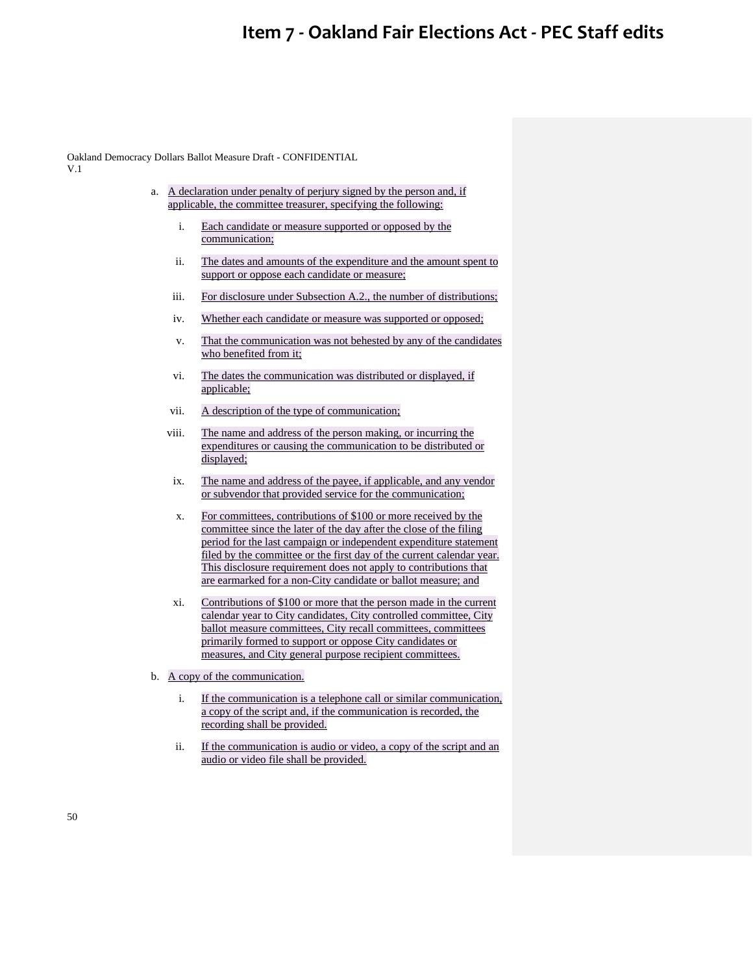Oakland Democracy Dollars Ballot Measure Draft - CONFIDENTIAL V.1

- a. A declaration under penalty of perjury signed by the person and, if applicable, the committee treasurer, specifying the following:
	- i. Each candidate or measure supported or opposed by the communication;
	- ii. The dates and amounts of the expenditure and the amount spent to support or oppose each candidate or measure;
	- iii. For disclosure under Subsection A.2., the number of distributions;
	- iv. Whether each candidate or measure was supported or opposed;
	- v. That the communication was not behested by any of the candidates who benefited from it;
	- vi. The dates the communication was distributed or displayed, if applicable;
	- vii. A description of the type of communication;
	- viii. The name and address of the person making, or incurring the expenditures or causing the communication to be distributed or displayed;
	- ix. The name and address of the payee, if applicable, and any vendor or subvendor that provided service for the communication;
	- x. For committees, contributions of \$100 or more received by the committee since the later of the day after the close of the filing period for the last campaign or independent expenditure statement filed by the committee or the first day of the current calendar year. This disclosure requirement does not apply to contributions that are earmarked for a non-City candidate or ballot measure; and
	- xi. Contributions of \$100 or more that the person made in the current calendar year to City candidates, City controlled committee, City ballot measure committees, City recall committees, committees primarily formed to support or oppose City candidates or measures, and City general purpose recipient committees.
- b. A copy of the communication.
	- i. If the communication is a telephone call or similar communication, a copy of the script and, if the communication is recorded, the recording shall be provided.
	- ii. If the communication is audio or video, a copy of the script and an audio or video file shall be provided.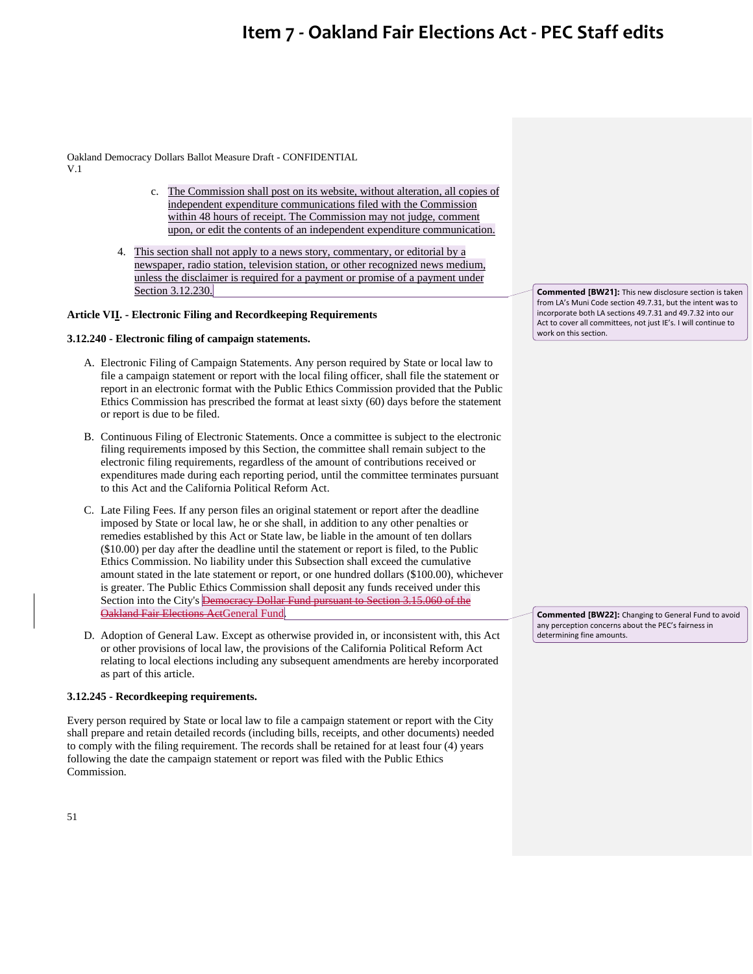Oakland Democracy Dollars Ballot Measure Draft - CONFIDENTIAL V.1

- c. The Commission shall post on its website, without alteration, all copies of independent expenditure communications filed with the Commission within 48 hours of receipt. The Commission may not judge, comment upon, or edit the contents of an independent expenditure communication.
- 4. This section shall not apply to a news story, commentary, or editorial by a newspaper, radio station, television station, or other recognized news medium, unless the disclaimer is required for a payment or promise of a payment under Section 3.12.230.

## **Article VII. - Electronic Filing and Recordkeeping Requirements**

## **3.12.240 - Electronic filing of campaign statements.**

- A. Electronic Filing of Campaign Statements. Any person required by State or local law to file a campaign statement or report with the local filing officer, shall file the statement or report in an electronic format with the Public Ethics Commission provided that the Public Ethics Commission has prescribed the format at least sixty (60) days before the statement or report is due to be filed.
- B. Continuous Filing of Electronic Statements. Once a committee is subject to the electronic filing requirements imposed by this Section, the committee shall remain subject to the electronic filing requirements, regardless of the amount of contributions received or expenditures made during each reporting period, until the committee terminates pursuant to this Act and the California Political Reform Act.
- C. Late Filing Fees. If any person files an original statement or report after the deadline imposed by State or local law, he or she shall, in addition to any other penalties or remedies established by this Act or State law, be liable in the amount of ten dollars (\$10.00) per day after the deadline until the statement or report is filed, to the Public Ethics Commission. No liability under this Subsection shall exceed the cumulative amount stated in the late statement or report, or one hundred dollars (\$100.00), whichever is greater. The Public Ethics Commission shall deposit any funds received under this Section into the City's Democracy Dollar Fund pursuant to Section 3.15.060 of the Oakland Fair Elections ActGeneral Fund.
- D. Adoption of General Law. Except as otherwise provided in, or inconsistent with, this Act or other provisions of local law, the provisions of the California Political Reform Act relating to local elections including any subsequent amendments are hereby incorporated as part of this article.

### **3.12.245 - Recordkeeping requirements.**

Every person required by State or local law to file a campaign statement or report with the City shall prepare and retain detailed records (including bills, receipts, and other documents) needed to comply with the filing requirement. The records shall be retained for at least four (4) years following the date the campaign statement or report was filed with the Public Ethics Commission.

**Commented [BW21]:** This new disclosure section is taken from LA's Muni Code section 49.7.31, but the intent was to incorporate both LA sections 49.7.31 and 49.7.32 into our Act to cover all committees, not just IE's. I will continue to work on this section.

**Commented [BW22]:** Changing to General Fund to avoid any perception concerns about the PEC's fairness in determining fine amounts.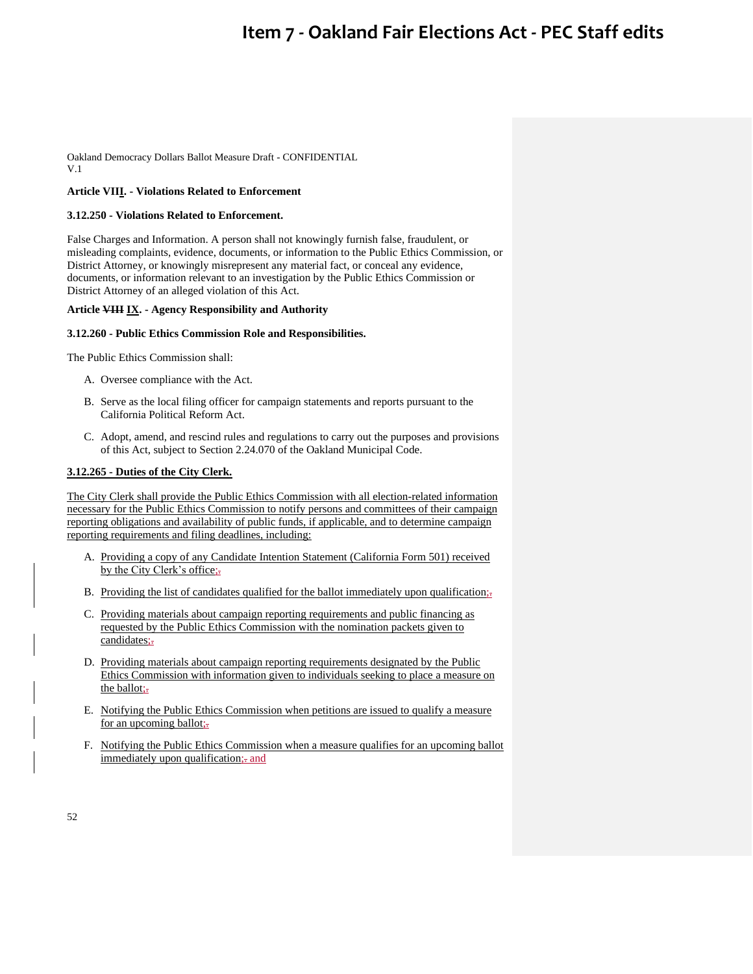Oakland Democracy Dollars Ballot Measure Draft - CONFIDENTIAL V.1

## **Article VIII. - Violations Related to Enforcement**

### **3.12.250 - Violations Related to Enforcement.**

False Charges and Information. A person shall not knowingly furnish false, fraudulent, or misleading complaints, evidence, documents, or information to the Public Ethics Commission, or District Attorney, or knowingly misrepresent any material fact, or conceal any evidence, documents, or information relevant to an investigation by the Public Ethics Commission or District Attorney of an alleged violation of this Act.

### **Article VIII IX. - Agency Responsibility and Authority**

#### **3.12.260 - Public Ethics Commission Role and Responsibilities.**

The Public Ethics Commission shall:

- A. Oversee compliance with the Act.
- B. Serve as the local filing officer for campaign statements and reports pursuant to the California Political Reform Act.
- C. Adopt, amend, and rescind rules and regulations to carry out the purposes and provisions of this Act, subject to Section 2.24.070 of the Oakland Municipal Code.

### **3.12.265 - Duties of the City Clerk.**

The City Clerk shall provide the Public Ethics Commission with all election-related information necessary for the Public Ethics Commission to notify persons and committees of their campaign reporting obligations and availability of public funds, if applicable, and to determine campaign reporting requirements and filing deadlines, including:

- A. Providing a copy of any Candidate Intention Statement (California Form 501) received by the City Clerk's office;-
- B. Providing the list of candidates qualified for the ballot immediately upon qualification;
- C. Providing materials about campaign reporting requirements and public financing as requested by the Public Ethics Commission with the nomination packets given to candidates;-
- D. Providing materials about campaign reporting requirements designated by the Public Ethics Commission with information given to individuals seeking to place a measure on the ballot;-
- E. Notifying the Public Ethics Commission when petitions are issued to qualify a measure for an upcoming ballot;
- F. Notifying the Public Ethics Commission when a measure qualifies for an upcoming ballot immediately upon qualification; and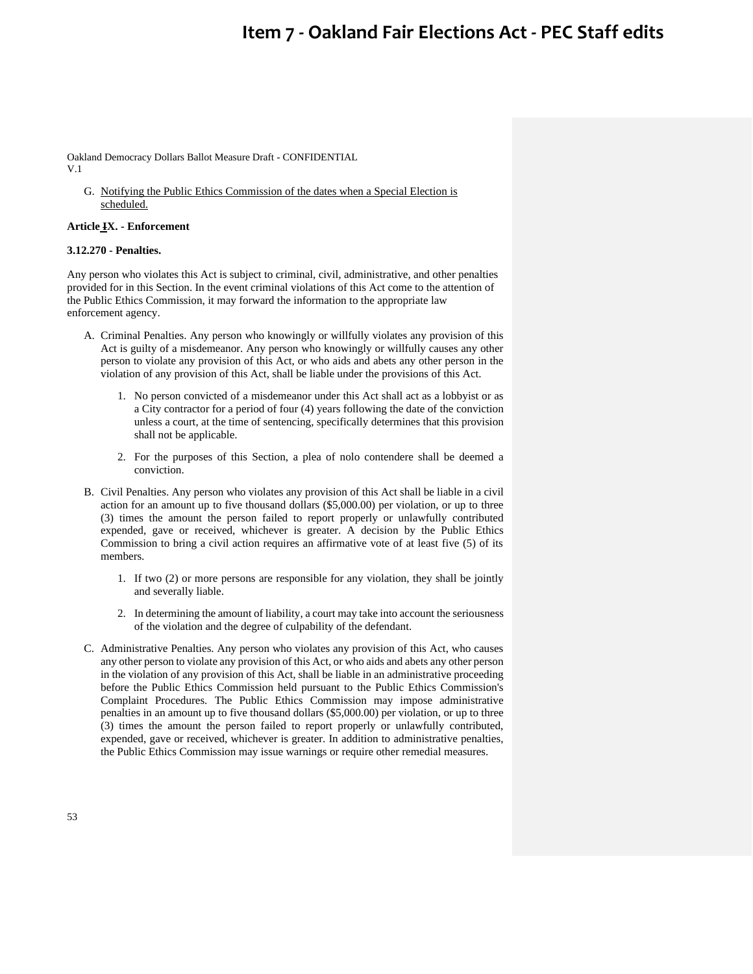Oakland Democracy Dollars Ballot Measure Draft - CONFIDENTIAL V.1

G. Notifying the Public Ethics Commission of the dates when a Special Election is scheduled.

#### **Article IX. - Enforcement**

### **3.12.270 - Penalties.**

Any person who violates this Act is subject to criminal, civil, administrative, and other penalties provided for in this Section. In the event criminal violations of this Act come to the attention of the Public Ethics Commission, it may forward the information to the appropriate law enforcement agency.

- A. Criminal Penalties. Any person who knowingly or willfully violates any provision of this Act is guilty of a misdemeanor. Any person who knowingly or willfully causes any other person to violate any provision of this Act, or who aids and abets any other person in the violation of any provision of this Act, shall be liable under the provisions of this Act.
	- 1. No person convicted of a misdemeanor under this Act shall act as a lobbyist or as a City contractor for a period of four (4) years following the date of the conviction unless a court, at the time of sentencing, specifically determines that this provision shall not be applicable.
	- 2. For the purposes of this Section, a plea of nolo contendere shall be deemed a conviction.
- B. Civil Penalties. Any person who violates any provision of this Act shall be liable in a civil action for an amount up to five thousand dollars (\$5,000.00) per violation, or up to three (3) times the amount the person failed to report properly or unlawfully contributed expended, gave or received, whichever is greater. A decision by the Public Ethics Commission to bring a civil action requires an affirmative vote of at least five (5) of its members.
	- 1. If two (2) or more persons are responsible for any violation, they shall be jointly and severally liable.
	- 2. In determining the amount of liability, a court may take into account the seriousness of the violation and the degree of culpability of the defendant.
- C. Administrative Penalties. Any person who violates any provision of this Act, who causes any other person to violate any provision of this Act, or who aids and abets any other person in the violation of any provision of this Act, shall be liable in an administrative proceeding before the Public Ethics Commission held pursuant to the Public Ethics Commission's Complaint Procedures. The Public Ethics Commission may impose administrative penalties in an amount up to five thousand dollars (\$5,000.00) per violation, or up to three (3) times the amount the person failed to report properly or unlawfully contributed, expended, gave or received, whichever is greater. In addition to administrative penalties, the Public Ethics Commission may issue warnings or require other remedial measures.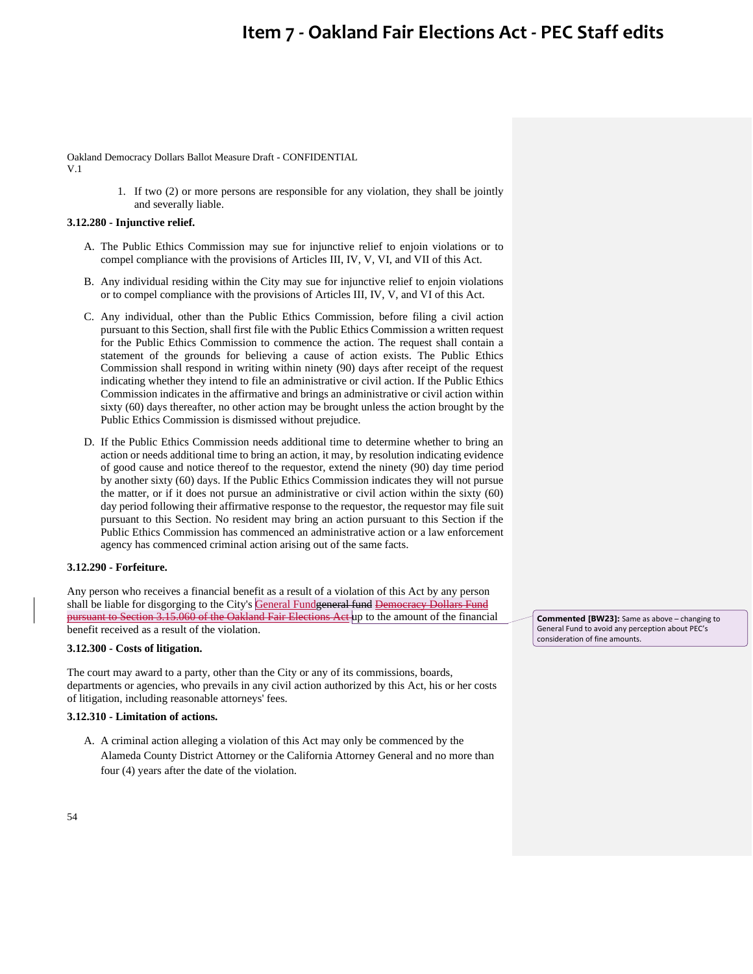Oakland Democracy Dollars Ballot Measure Draft - CONFIDENTIAL V.1

> 1. If two (2) or more persons are responsible for any violation, they shall be jointly and severally liable.

## **3.12.280 - Injunctive relief.**

- A. The Public Ethics Commission may sue for injunctive relief to enjoin violations or to compel compliance with the provisions of Articles III, IV, V, VI, and VII of this Act.
- B. Any individual residing within the City may sue for injunctive relief to enjoin violations or to compel compliance with the provisions of Articles III, IV, V, and VI of this Act.
- C. Any individual, other than the Public Ethics Commission, before filing a civil action pursuant to this Section, shall first file with the Public Ethics Commission a written request for the Public Ethics Commission to commence the action. The request shall contain a statement of the grounds for believing a cause of action exists. The Public Ethics Commission shall respond in writing within ninety (90) days after receipt of the request indicating whether they intend to file an administrative or civil action. If the Public Ethics Commission indicates in the affirmative and brings an administrative or civil action within sixty (60) days thereafter, no other action may be brought unless the action brought by the Public Ethics Commission is dismissed without prejudice.
- D. If the Public Ethics Commission needs additional time to determine whether to bring an action or needs additional time to bring an action, it may, by resolution indicating evidence of good cause and notice thereof to the requestor, extend the ninety (90) day time period by another sixty (60) days. If the Public Ethics Commission indicates they will not pursue the matter, or if it does not pursue an administrative or civil action within the sixty (60) day period following their affirmative response to the requestor, the requestor may file suit pursuant to this Section. No resident may bring an action pursuant to this Section if the Public Ethics Commission has commenced an administrative action or a law enforcement agency has commenced criminal action arising out of the same facts.

## **3.12.290 - Forfeiture.**

Any person who receives a financial benefit as a result of a violation of this Act by any person shall be liable for disgorging to the City's General Fundgeneral fund Democracy Dollars Fund pursuant to Section 3.15.060 of the Oakland Fair Elections Act up to the amount of the financial benefit received as a result of the violation.

### **3.12.300 - Costs of litigation.**

The court may award to a party, other than the City or any of its commissions, boards, departments or agencies, who prevails in any civil action authorized by this Act, his or her costs of litigation, including reasonable attorneys' fees.

#### **3.12.310 - Limitation of actions.**

A. A criminal action alleging a violation of this Act may only be commenced by the Alameda County District Attorney or the California Attorney General and no more than four (4) years after the date of the violation.

**Commented [BW23]:** Same as above – changing to General Fund to avoid any perception about PEC's consideration of fine amounts.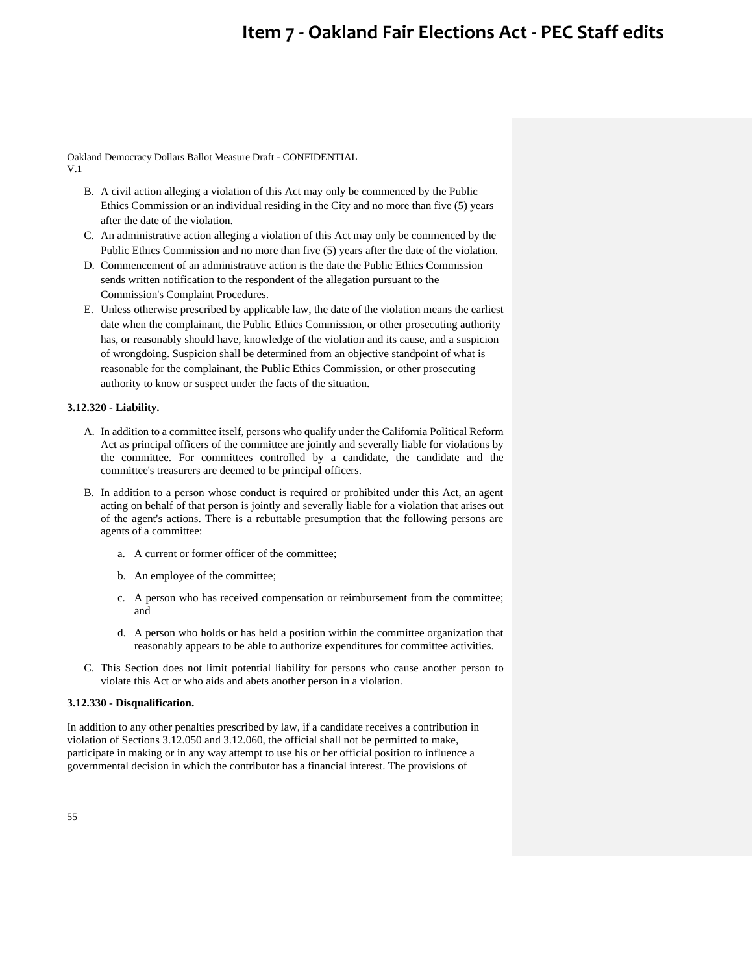Oakland Democracy Dollars Ballot Measure Draft - CONFIDENTIAL V.1

- B. A civil action alleging a violation of this Act may only be commenced by the Public Ethics Commission or an individual residing in the City and no more than five (5) years after the date of the violation.
- C. An administrative action alleging a violation of this Act may only be commenced by the Public Ethics Commission and no more than five (5) years after the date of the violation.
- D. Commencement of an administrative action is the date the Public Ethics Commission sends written notification to the respondent of the allegation pursuant to the Commission's Complaint Procedures.
- E. Unless otherwise prescribed by applicable law, the date of the violation means the earliest date when the complainant, the Public Ethics Commission, or other prosecuting authority has, or reasonably should have, knowledge of the violation and its cause, and a suspicion of wrongdoing. Suspicion shall be determined from an objective standpoint of what is reasonable for the complainant, the Public Ethics Commission, or other prosecuting authority to know or suspect under the facts of the situation.

## **3.12.320 - Liability.**

- A. In addition to a committee itself, persons who qualify under the California Political Reform Act as principal officers of the committee are jointly and severally liable for violations by the committee. For committees controlled by a candidate, the candidate and the committee's treasurers are deemed to be principal officers.
- B. In addition to a person whose conduct is required or prohibited under this Act, an agent acting on behalf of that person is jointly and severally liable for a violation that arises out of the agent's actions. There is a rebuttable presumption that the following persons are agents of a committee:
	- a. A current or former officer of the committee;
	- b. An employee of the committee;
	- c. A person who has received compensation or reimbursement from the committee; and
	- d. A person who holds or has held a position within the committee organization that reasonably appears to be able to authorize expenditures for committee activities.
- C. This Section does not limit potential liability for persons who cause another person to violate this Act or who aids and abets another person in a violation.

### **3.12.330 - Disqualification.**

In addition to any other penalties prescribed by law, if a candidate receives a contribution in violation of Sections 3.12.050 and 3.12.060, the official shall not be permitted to make, participate in making or in any way attempt to use his or her official position to influence a governmental decision in which the contributor has a financial interest. The provisions of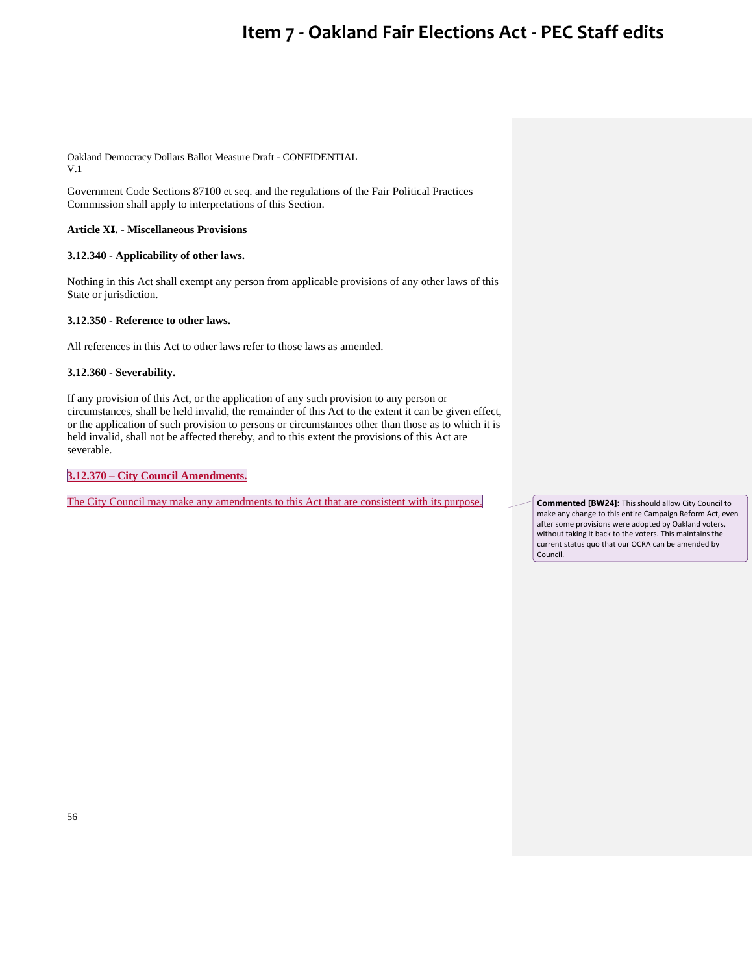Oakland Democracy Dollars Ballot Measure Draft - CONFIDENTIAL V.1

Government Code Sections 87100 et seq. and the regulations of the Fair Political Practices Commission shall apply to interpretations of this Section.

## **Article XI. - Miscellaneous Provisions**

## **3.12.340 - Applicability of other laws.**

Nothing in this Act shall exempt any person from applicable provisions of any other laws of this State or jurisdiction.

## **3.12.350 - Reference to other laws.**

All references in this Act to other laws refer to those laws as amended.

**3.12.360 - Severability.** 

If any provision of this Act, or the application of any such provision to any person or circumstances, shall be held invalid, the remainder of this Act to the extent it can be given effect, or the application of such provision to persons or circumstances other than those as to which it is held invalid, shall not be affected thereby, and to this extent the provisions of this Act are severable.

**3.12.370 – City Council Amendments.**

The City Council may make any amendments to this Act that are consistent with its purpose. **Commented [BW24]:** This should allow City Council to

make any change to this entire Campaign Reform Act, even after some provisions were adopted by Oakland voters, without taking it back to the voters. This maintains the current status quo that our OCRA can be amended by Council.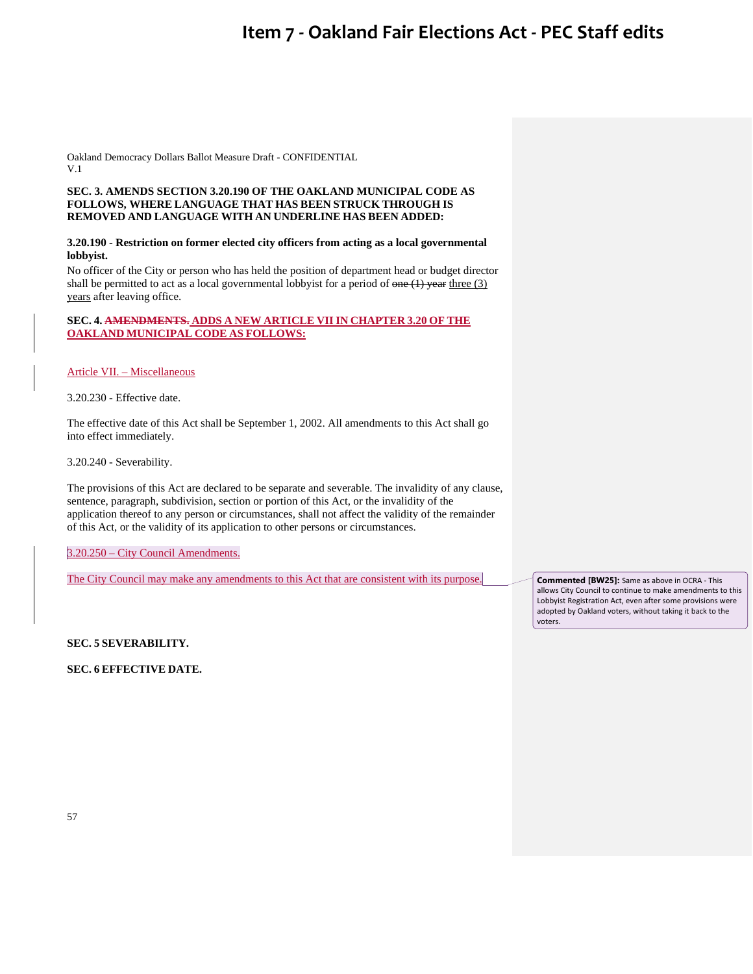Oakland Democracy Dollars Ballot Measure Draft - CONFIDENTIAL V.1

## **SEC. 3. AMENDS SECTION 3.20.190 OF THE OAKLAND MUNICIPAL CODE AS FOLLOWS, WHERE LANGUAGE THAT HAS BEEN STRUCK THROUGH IS REMOVED AND LANGUAGE WITH AN UNDERLINE HAS BEEN ADDED:**

## **3.20.190 - Restriction on former elected city officers from acting as a local governmental lobbyist.**

No officer of the City or person who has held the position of department head or budget director shall be permitted to act as a local governmental lobbyist for a period of  $\overline{one}(1)$  year three (3) years after leaving office.

## **SEC. 4. AMENDMENTS. ADDS A NEW ARTICLE VII IN CHAPTER 3.20 OF THE OAKLAND MUNICIPAL CODE AS FOLLOWS:**

Article VII. – Miscellaneous

3.20.230 - Effective date.

The effective date of this Act shall be September 1, 2002. All amendments to this Act shall go into effect immediately.

3.20.240 - Severability.

The provisions of this Act are declared to be separate and severable. The invalidity of any clause, sentence, paragraph, subdivision, section or portion of this Act, or the invalidity of the application thereof to any person or circumstances, shall not affect the validity of the remainder of this Act, or the validity of its application to other persons or circumstances.

3.20.250 – City Council Amendments.

The City Council may make any amendments to this Act that are consistent with its purpose.

**Commented [BW25]:** Same as above in OCRA - This allows City Council to continue to make amendments to this Lobbyist Registration Act, even after some provisions were adopted by Oakland voters, without taking it back to the voters.

**SEC. 5 SEVERABILITY.**

**SEC. 6 EFFECTIVE DATE.**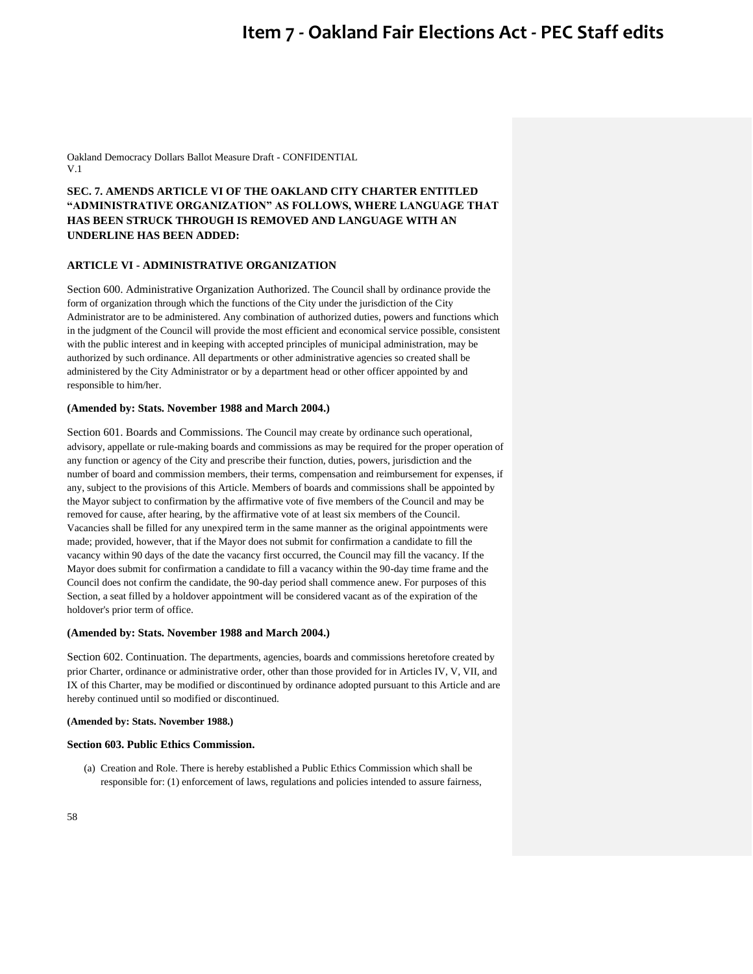Oakland Democracy Dollars Ballot Measure Draft - CONFIDENTIAL V.1

## **SEC. 7. AMENDS ARTICLE VI OF THE OAKLAND CITY CHARTER ENTITLED "ADMINISTRATIVE ORGANIZATION" AS FOLLOWS, WHERE LANGUAGE THAT HAS BEEN STRUCK THROUGH IS REMOVED AND LANGUAGE WITH AN UNDERLINE HAS BEEN ADDED:**

### **ARTICLE VI - ADMINISTRATIVE ORGANIZATION**

Section 600. Administrative Organization Authorized. The Council shall by ordinance provide the form of organization through which the functions of the City under the jurisdiction of the City Administrator are to be administered. Any combination of authorized duties, powers and functions which in the judgment of the Council will provide the most efficient and economical service possible, consistent with the public interest and in keeping with accepted principles of municipal administration, may be authorized by such ordinance. All departments or other administrative agencies so created shall be administered by the City Administrator or by a department head or other officer appointed by and responsible to him/her.

#### **(Amended by: Stats. November 1988 and March 2004.)**

Section 601. Boards and Commissions. The Council may create by ordinance such operational, advisory, appellate or rule-making boards and commissions as may be required for the proper operation of any function or agency of the City and prescribe their function, duties, powers, jurisdiction and the number of board and commission members, their terms, compensation and reimbursement for expenses, if any, subject to the provisions of this Article. Members of boards and commissions shall be appointed by the Mayor subject to confirmation by the affirmative vote of five members of the Council and may be removed for cause, after hearing, by the affirmative vote of at least six members of the Council. Vacancies shall be filled for any unexpired term in the same manner as the original appointments were made; provided, however, that if the Mayor does not submit for confirmation a candidate to fill the vacancy within 90 days of the date the vacancy first occurred, the Council may fill the vacancy. If the Mayor does submit for confirmation a candidate to fill a vacancy within the 90-day time frame and the Council does not confirm the candidate, the 90-day period shall commence anew. For purposes of this Section, a seat filled by a holdover appointment will be considered vacant as of the expiration of the holdover's prior term of office.

### **(Amended by: Stats. November 1988 and March 2004.)**

Section 602. Continuation. The departments, agencies, boards and commissions heretofore created by prior Charter, ordinance or administrative order, other than those provided for in Articles IV, V, VII, and IX of this Charter, may be modified or discontinued by ordinance adopted pursuant to this Article and are hereby continued until so modified or discontinued.

#### **(Amended by: Stats. November 1988.)**

#### **Section 603. Public Ethics Commission.**

(a) Creation and Role. There is hereby established a Public Ethics Commission which shall be responsible for: (1) enforcement of laws, regulations and policies intended to assure fairness,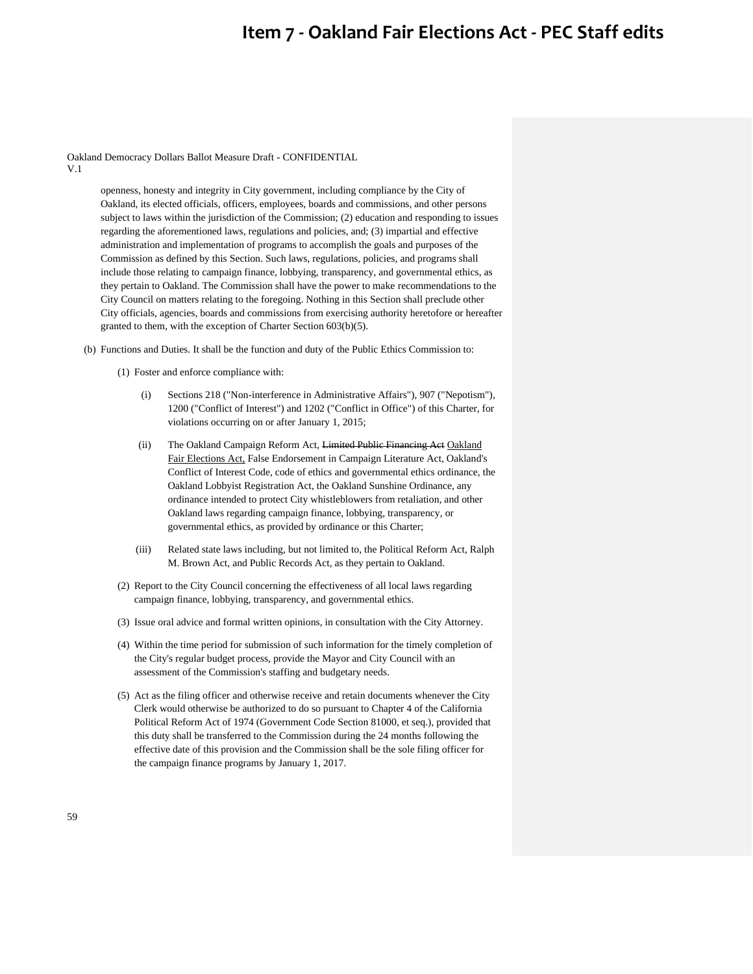Oakland Democracy Dollars Ballot Measure Draft - CONFIDENTIAL V.1

> openness, honesty and integrity in City government, including compliance by the City of Oakland, its elected officials, officers, employees, boards and commissions, and other persons subject to laws within the jurisdiction of the Commission; (2) education and responding to issues regarding the aforementioned laws, regulations and policies, and; (3) impartial and effective administration and implementation of programs to accomplish the goals and purposes of the Commission as defined by this Section. Such laws, regulations, policies, and programs shall include those relating to campaign finance, lobbying, transparency, and governmental ethics, as they pertain to Oakland. The Commission shall have the power to make recommendations to the City Council on matters relating to the foregoing. Nothing in this Section shall preclude other City officials, agencies, boards and commissions from exercising authority heretofore or hereafter granted to them, with the exception of Charter Section 603(b)(5).

- (b) Functions and Duties. It shall be the function and duty of the Public Ethics Commission to:
	- (1) Foster and enforce compliance with:
		- (i) Sections 218 ("Non-interference in Administrative Affairs"), 907 ("Nepotism"), 1200 ("Conflict of Interest") and 1202 ("Conflict in Office") of this Charter, for violations occurring on or after January 1, 2015;
		- (ii) The Oakland Campaign Reform Act, Limited Public Financing Act Oakland Fair Elections Act, False Endorsement in Campaign Literature Act, Oakland's Conflict of Interest Code, code of ethics and governmental ethics ordinance, the Oakland Lobbyist Registration Act, the Oakland Sunshine Ordinance, any ordinance intended to protect City whistleblowers from retaliation, and other Oakland laws regarding campaign finance, lobbying, transparency, or governmental ethics, as provided by ordinance or this Charter;
		- (iii) Related state laws including, but not limited to, the Political Reform Act, Ralph M. Brown Act, and Public Records Act, as they pertain to Oakland.
	- (2) Report to the City Council concerning the effectiveness of all local laws regarding campaign finance, lobbying, transparency, and governmental ethics.
	- (3) Issue oral advice and formal written opinions, in consultation with the City Attorney.
	- (4) Within the time period for submission of such information for the timely completion of the City's regular budget process, provide the Mayor and City Council with an assessment of the Commission's staffing and budgetary needs.
	- (5) Act as the filing officer and otherwise receive and retain documents whenever the City Clerk would otherwise be authorized to do so pursuant to Chapter 4 of the California Political Reform Act of 1974 (Government Code Section 81000, et seq.), provided that this duty shall be transferred to the Commission during the 24 months following the effective date of this provision and the Commission shall be the sole filing officer for the campaign finance programs by January 1, 2017.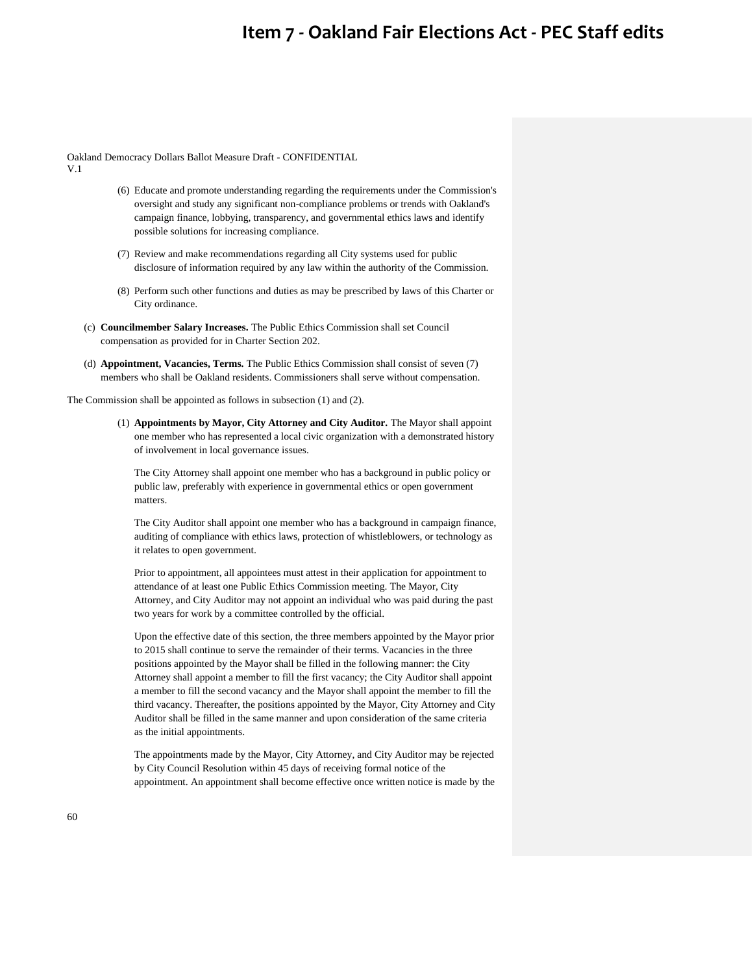Oakland Democracy Dollars Ballot Measure Draft - CONFIDENTIAL

V.1

- (6) Educate and promote understanding regarding the requirements under the Commission's oversight and study any significant non-compliance problems or trends with Oakland's campaign finance, lobbying, transparency, and governmental ethics laws and identify possible solutions for increasing compliance.
- (7) Review and make recommendations regarding all City systems used for public disclosure of information required by any law within the authority of the Commission.
- (8) Perform such other functions and duties as may be prescribed by laws of this Charter or City ordinance.
- (c) **Councilmember Salary Increases.** The Public Ethics Commission shall set Council compensation as provided for in Charter Section 202.
- (d) **Appointment, Vacancies, Terms.** The Public Ethics Commission shall consist of seven (7) members who shall be Oakland residents. Commissioners shall serve without compensation.

The Commission shall be appointed as follows in subsection (1) and (2).

(1) **Appointments by Mayor, City Attorney and City Auditor.** The Mayor shall appoint one member who has represented a local civic organization with a demonstrated history of involvement in local governance issues.

The City Attorney shall appoint one member who has a background in public policy or public law, preferably with experience in governmental ethics or open government matters.

The City Auditor shall appoint one member who has a background in campaign finance, auditing of compliance with ethics laws, protection of whistleblowers, or technology as it relates to open government.

Prior to appointment, all appointees must attest in their application for appointment to attendance of at least one Public Ethics Commission meeting. The Mayor, City Attorney, and City Auditor may not appoint an individual who was paid during the past two years for work by a committee controlled by the official.

Upon the effective date of this section, the three members appointed by the Mayor prior to 2015 shall continue to serve the remainder of their terms. Vacancies in the three positions appointed by the Mayor shall be filled in the following manner: the City Attorney shall appoint a member to fill the first vacancy; the City Auditor shall appoint a member to fill the second vacancy and the Mayor shall appoint the member to fill the third vacancy. Thereafter, the positions appointed by the Mayor, City Attorney and City Auditor shall be filled in the same manner and upon consideration of the same criteria as the initial appointments.

The appointments made by the Mayor, City Attorney, and City Auditor may be rejected by City Council Resolution within 45 days of receiving formal notice of the appointment. An appointment shall become effective once written notice is made by the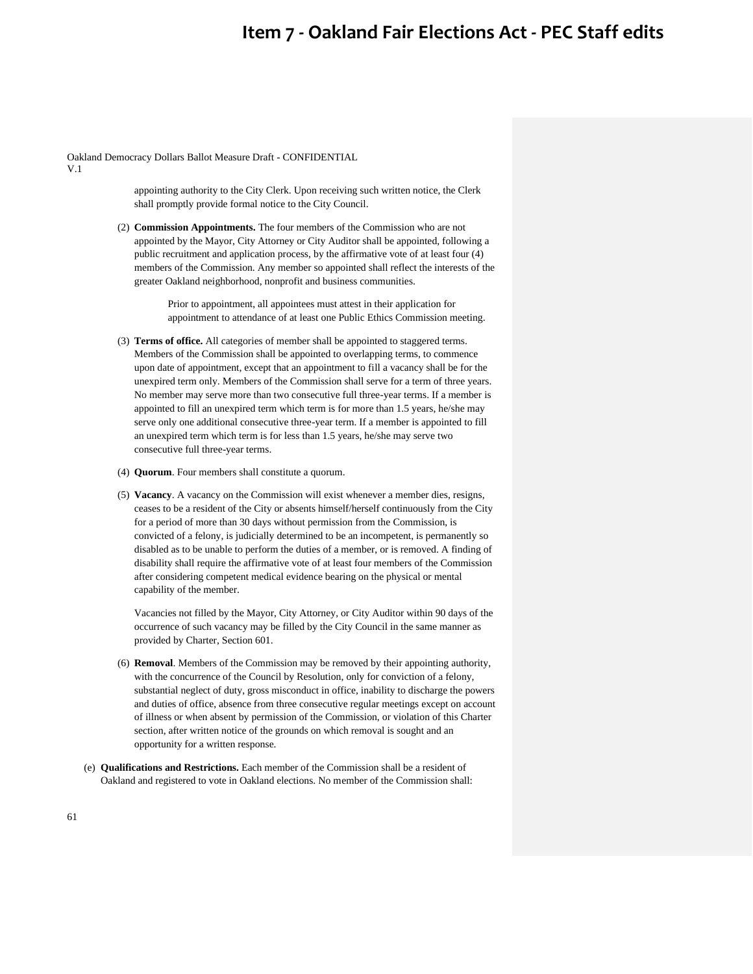Oakland Democracy Dollars Ballot Measure Draft - CONFIDENTIAL

V.1

appointing authority to the City Clerk. Upon receiving such written notice, the Clerk shall promptly provide formal notice to the City Council.

(2) **Commission Appointments.** The four members of the Commission who are not appointed by the Mayor, City Attorney or City Auditor shall be appointed, following a public recruitment and application process, by the affirmative vote of at least four (4) members of the Commission. Any member so appointed shall reflect the interests of the greater Oakland neighborhood, nonprofit and business communities.

> Prior to appointment, all appointees must attest in their application for appointment to attendance of at least one Public Ethics Commission meeting.

- (3) **Terms of office.** All categories of member shall be appointed to staggered terms. Members of the Commission shall be appointed to overlapping terms, to commence upon date of appointment, except that an appointment to fill a vacancy shall be for the unexpired term only. Members of the Commission shall serve for a term of three years. No member may serve more than two consecutive full three-year terms. If a member is appointed to fill an unexpired term which term is for more than 1.5 years, he/she may serve only one additional consecutive three-year term. If a member is appointed to fill an unexpired term which term is for less than 1.5 years, he/she may serve two consecutive full three-year terms.
- (4) **Quorum**. Four members shall constitute a quorum.
- (5) **Vacancy**. A vacancy on the Commission will exist whenever a member dies, resigns, ceases to be a resident of the City or absents himself/herself continuously from the City for a period of more than 30 days without permission from the Commission, is convicted of a felony, is judicially determined to be an incompetent, is permanently so disabled as to be unable to perform the duties of a member, or is removed. A finding of disability shall require the affirmative vote of at least four members of the Commission after considering competent medical evidence bearing on the physical or mental capability of the member.

Vacancies not filled by the Mayor, City Attorney, or City Auditor within 90 days of the occurrence of such vacancy may be filled by the City Council in the same manner as provided by Charter, Section 601.

- (6) **Removal**. Members of the Commission may be removed by their appointing authority, with the concurrence of the Council by Resolution, only for conviction of a felony, substantial neglect of duty, gross misconduct in office, inability to discharge the powers and duties of office, absence from three consecutive regular meetings except on account of illness or when absent by permission of the Commission, or violation of this Charter section, after written notice of the grounds on which removal is sought and an opportunity for a written response.
- (e) **Qualifications and Restrictions.** Each member of the Commission shall be a resident of Oakland and registered to vote in Oakland elections. No member of the Commission shall: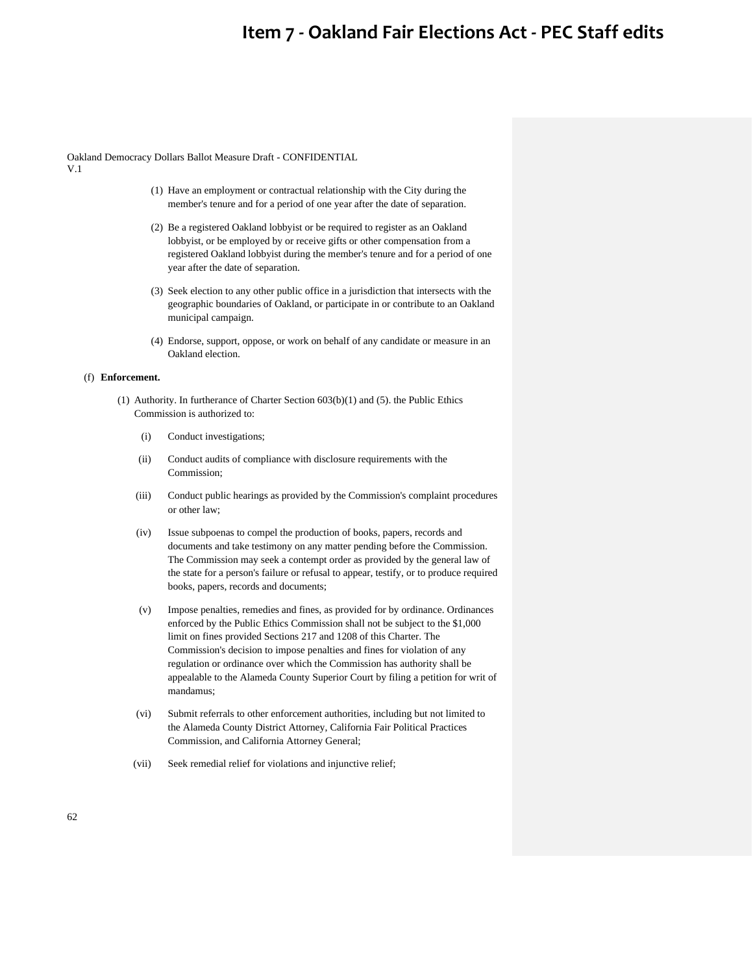Oakland Democracy Dollars Ballot Measure Draft - CONFIDENTIAL V.1

- (1) Have an employment or contractual relationship with the City during the member's tenure and for a period of one year after the date of separation.
- (2) Be a registered Oakland lobbyist or be required to register as an Oakland lobbyist, or be employed by or receive gifts or other compensation from a registered Oakland lobbyist during the member's tenure and for a period of one year after the date of separation.
- (3) Seek election to any other public office in a jurisdiction that intersects with the geographic boundaries of Oakland, or participate in or contribute to an Oakland municipal campaign.
- (4) Endorse, support, oppose, or work on behalf of any candidate or measure in an Oakland election.

## (f) **Enforcement.**

- (1) Authority. In furtherance of Charter Section 603(b)(1) and (5). the Public Ethics Commission is authorized to:
	- (i) Conduct investigations;
	- (ii) Conduct audits of compliance with disclosure requirements with the Commission;
	- (iii) Conduct public hearings as provided by the Commission's complaint procedures or other law;
	- (iv) Issue subpoenas to compel the production of books, papers, records and documents and take testimony on any matter pending before the Commission. The Commission may seek a contempt order as provided by the general law of the state for a person's failure or refusal to appear, testify, or to produce required books, papers, records and documents;
	- (v) Impose penalties, remedies and fines, as provided for by ordinance. Ordinances enforced by the Public Ethics Commission shall not be subject to the \$1,000 limit on fines provided Sections 217 and 1208 of this Charter. The Commission's decision to impose penalties and fines for violation of any regulation or ordinance over which the Commission has authority shall be appealable to the Alameda County Superior Court by filing a petition for writ of mandamus;
	- (vi) Submit referrals to other enforcement authorities, including but not limited to the Alameda County District Attorney, California Fair Political Practices Commission, and California Attorney General;
	- (vii) Seek remedial relief for violations and injunctive relief;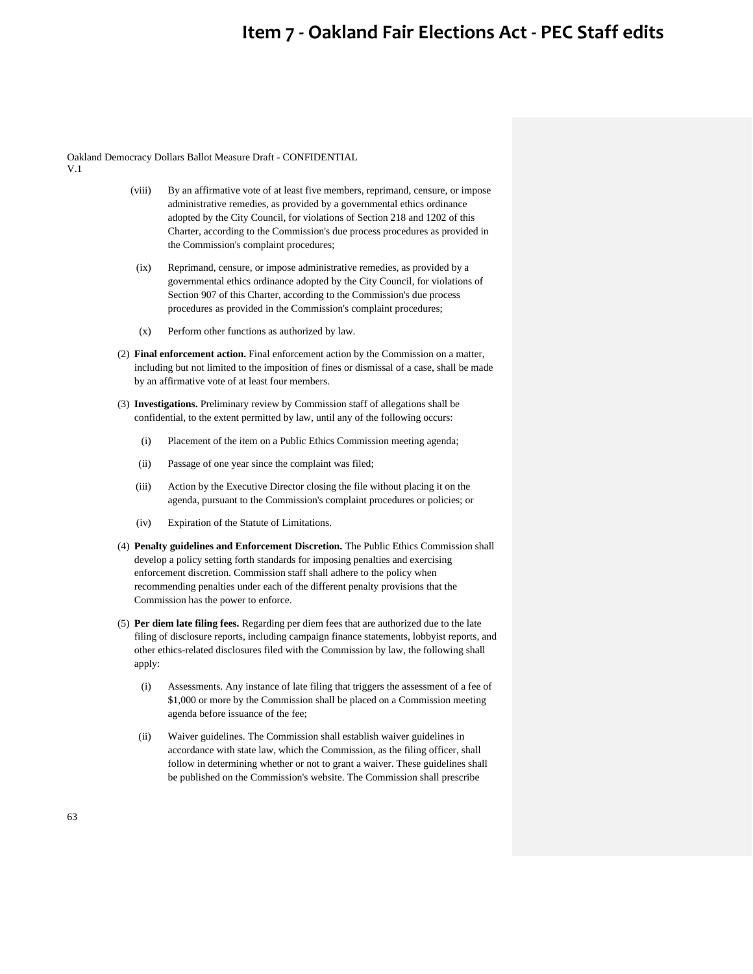Oakland Democracy Dollars Ballot Measure Draft - CONFIDENTIAL V.1

- (viii) By an affirmative vote of at least five members, reprimand, censure, or impose administrative remedies, as provided by a governmental ethics ordinance adopted by the City Council, for violations of Section 218 and 1202 of this Charter, according to the Commission's due process procedures as provided in the Commission's complaint procedures;
- (ix) Reprimand, censure, or impose administrative remedies, as provided by a governmental ethics ordinance adopted by the City Council, for violations of Section 907 of this Charter, according to the Commission's due process procedures as provided in the Commission's complaint procedures;
- (x) Perform other functions as authorized by law.
- (2) **Final enforcement action.** Final enforcement action by the Commission on a matter, including but not limited to the imposition of fines or dismissal of a case, shall be made by an affirmative vote of at least four members.
- (3) **Investigations.** Preliminary review by Commission staff of allegations shall be confidential, to the extent permitted by law, until any of the following occurs:
	- (i) Placement of the item on a Public Ethics Commission meeting agenda;
	- (ii) Passage of one year since the complaint was filed;
	- (iii) Action by the Executive Director closing the file without placing it on the agenda, pursuant to the Commission's complaint procedures or policies; or
	- (iv) Expiration of the Statute of Limitations.
- (4) **Penalty guidelines and Enforcement Discretion.** The Public Ethics Commission shall develop a policy setting forth standards for imposing penalties and exercising enforcement discretion. Commission staff shall adhere to the policy when recommending penalties under each of the different penalty provisions that the Commission has the power to enforce.
- (5) **Per diem late filing fees.** Regarding per diem fees that are authorized due to the late filing of disclosure reports, including campaign finance statements, lobbyist reports, and other ethics-related disclosures filed with the Commission by law, the following shall apply:
	- (i) Assessments. Any instance of late filing that triggers the assessment of a fee of \$1,000 or more by the Commission shall be placed on a Commission meeting agenda before issuance of the fee;
	- (ii) Waiver guidelines. The Commission shall establish waiver guidelines in accordance with state law, which the Commission, as the filing officer, shall follow in determining whether or not to grant a waiver. These guidelines shall be published on the Commission's website. The Commission shall prescribe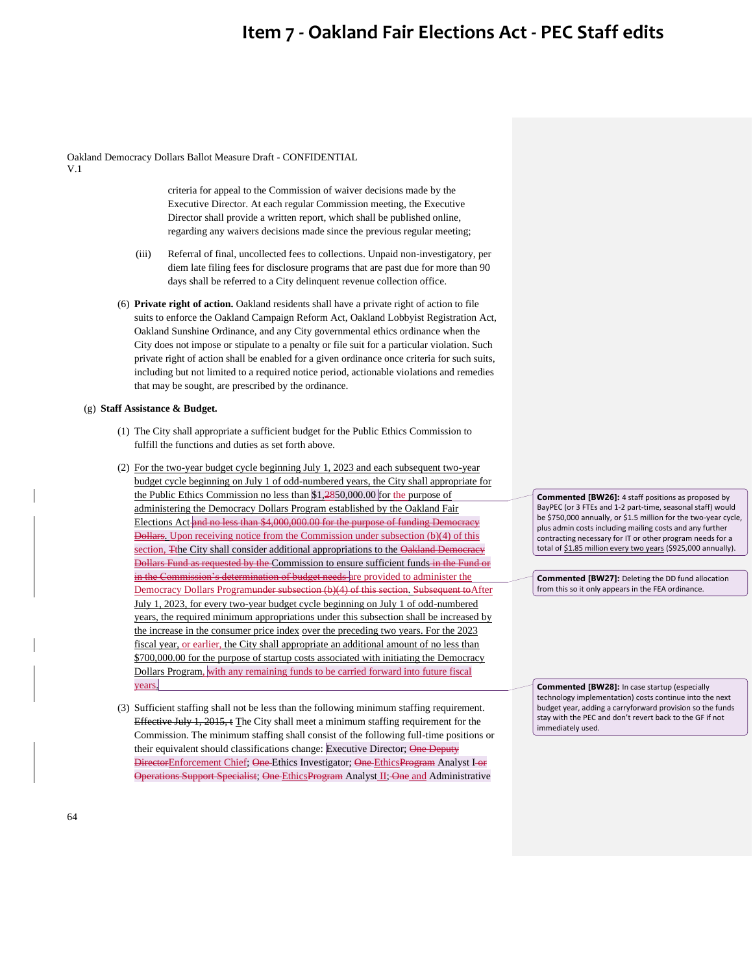Oakland Democracy Dollars Ballot Measure Draft - CONFIDENTIAL V.1

> criteria for appeal to the Commission of waiver decisions made by the Executive Director. At each regular Commission meeting, the Executive Director shall provide a written report, which shall be published online, regarding any waivers decisions made since the previous regular meeting;

- (iii) Referral of final, uncollected fees to collections. Unpaid non-investigatory, per diem late filing fees for disclosure programs that are past due for more than 90 days shall be referred to a City delinquent revenue collection office.
- (6) **Private right of action.** Oakland residents shall have a private right of action to file suits to enforce the Oakland Campaign Reform Act, Oakland Lobbyist Registration Act, Oakland Sunshine Ordinance, and any City governmental ethics ordinance when the City does not impose or stipulate to a penalty or file suit for a particular violation. Such private right of action shall be enabled for a given ordinance once criteria for such suits, including but not limited to a required notice period, actionable violations and remedies that may be sought, are prescribed by the ordinance.

#### (g) **Staff Assistance & Budget.**

- (1) The City shall appropriate a sufficient budget for the Public Ethics Commission to fulfill the functions and duties as set forth above.
- (2) For the two-year budget cycle beginning July 1, 2023 and each subsequent two-year budget cycle beginning on July 1 of odd-numbered years, the City shall appropriate for the Public Ethics Commission no less than \$1,2850,000.00 for the purpose of administering the Democracy Dollars Program established by the Oakland Fair Elections Act and no less than \$4,000,000.00 for the purpose of funding Democracy Dollars. Upon receiving notice from the Commission under subsection (b)(4) of this section, Tthe City shall consider additional appropriations to the Oakland Democracy Dollars Fund as requested by the Commission to ensure sufficient funds in the Fund or in the Commission's determination of budget needs are provided to administer the Democracy Dollars Programunder subsection (b)(4) of this section. Subsequent toAfter July 1, 2023, for every two-year budget cycle beginning on July 1 of odd-numbered years, the required minimum appropriations under this subsection shall be increased by the increase in the consumer price index over the preceding two years. For the 2023 fiscal year, or earlier, the City shall appropriate an additional amount of no less than \$700,000.00 for the purpose of startup costs associated with initiating the Democracy Dollars Program, with any remaining funds to be carried forward into future fiscal years.
- (3) Sufficient staffing shall not be less than the following minimum staffing requirement. Effective July 1, 2015, t The City shall meet a minimum staffing requirement for the Commission. The minimum staffing shall consist of the following full-time positions or their equivalent should classifications change: Executive Director; One Deputy DirectorEnforcement Chief; One-Ethics Investigator; One-EthicsProgram Analyst I-or Operations Support Specialist; One EthicsProgram Analyst II; One and Administrative

**Commented [BW26]:** 4 staff positions as proposed by BayPEC (or 3 FTEs and 1-2 part-time, seasonal staff) would be \$750,000 annually, or \$1.5 million for the two-year cycle, plus admin costs including mailing costs and any further contracting necessary for IT or other program needs for a total of \$1.85 million every two years (\$925,000 annually).

**Commented [BW27]:** Deleting the DD fund allocation from this so it only appears in the FEA ordinance.

**Commented [BW28]:** In case startup (especially technology implementation) costs continue into the next budget year, adding a carryforward provision so the funds stay with the PEC and don't revert back to the GF if not immediately used.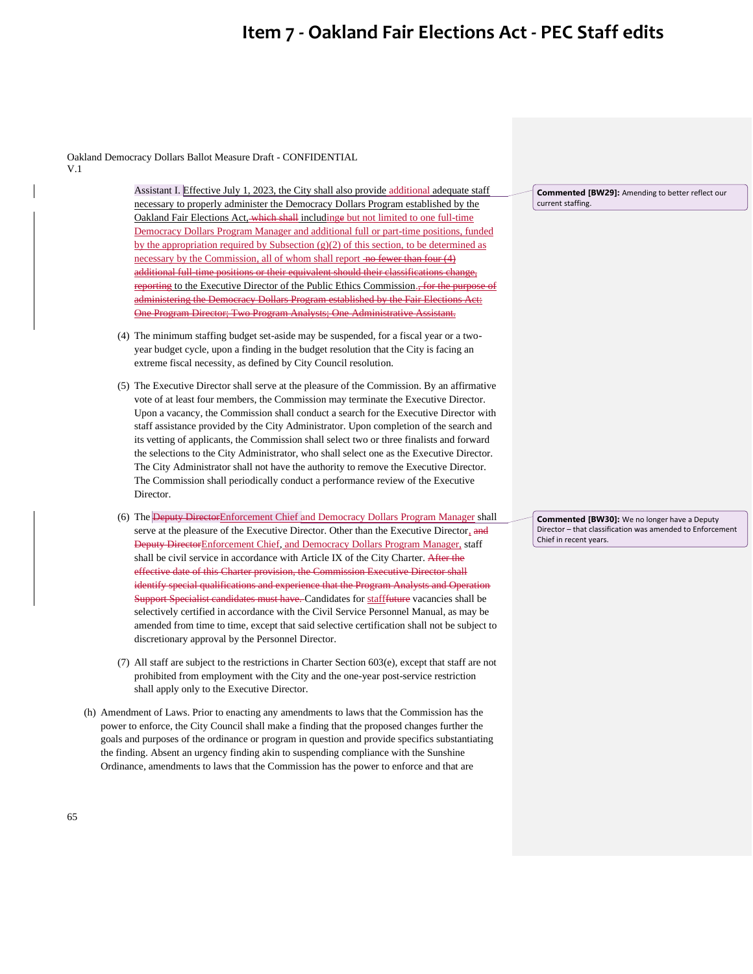Oakland Democracy Dollars Ballot Measure Draft - CONFIDENTIAL V.1

> Assistant I. Effective July 1, 2023, the City shall also provide additional adequate staff necessary to properly administer the Democracy Dollars Program established by the Oakland Fair Elections Act, which shall includinge but not limited to one full-time Democracy Dollars Program Manager and additional full or part-time positions, funded by the appropriation required by Subsection (g)(2) of this section, to be determined as necessary by the Commission, all of whom shall report no fewer than four (4) additional full-time positions or their equivalent should their classifications change, reporting to the Executive Director of the Public Ethics Commission., for the inistering the Democracy Dollars Program established by the Fair Elections Actions Actions Actions Actions Act One Program Director; Two Program Analysts; One Administrative Assistant.

- (4) The minimum staffing budget set-aside may be suspended, for a fiscal year or a twoyear budget cycle, upon a finding in the budget resolution that the City is facing an extreme fiscal necessity, as defined by City Council resolution.
- (5) The Executive Director shall serve at the pleasure of the Commission. By an affirmative vote of at least four members, the Commission may terminate the Executive Director. Upon a vacancy, the Commission shall conduct a search for the Executive Director with staff assistance provided by the City Administrator. Upon completion of the search and its vetting of applicants, the Commission shall select two or three finalists and forward the selections to the City Administrator, who shall select one as the Executive Director. The City Administrator shall not have the authority to remove the Executive Director. The Commission shall periodically conduct a performance review of the Executive Director.
- (6) The Deputy DirectorEnforcement Chief and Democracy Dollars Program Manager shall serve at the pleasure of the Executive Director. Other than the Executive Director, and Deputy DirectorEnforcement Chief, and Democracy Dollars Program Manager, staff shall be civil service in accordance with Article IX of the City Charter. After the effective date of this Charter provision, the Commission Executive Director shall identify special qualifications and experience that the Program Analysts and Operation Support Specialist candidates must have. Candidates for stafffuture vacancies shall be selectively certified in accordance with the Civil Service Personnel Manual, as may be amended from time to time, except that said selective certification shall not be subject to discretionary approval by the Personnel Director.
- (7) All staff are subject to the restrictions in Charter Section 603(e), except that staff are not prohibited from employment with the City and the one-year post-service restriction shall apply only to the Executive Director.
- (h) Amendment of Laws. Prior to enacting any amendments to laws that the Commission has the power to enforce, the City Council shall make a finding that the proposed changes further the goals and purposes of the ordinance or program in question and provide specifics substantiating the finding. Absent an urgency finding akin to suspending compliance with the Sunshine Ordinance, amendments to laws that the Commission has the power to enforce and that are

**Commented [BW29]:** Amending to better reflect our current staffing.

**Commented [BW30]:** We no longer have a Deputy Director – that classification was amended to Enforcement Chief in recent years.